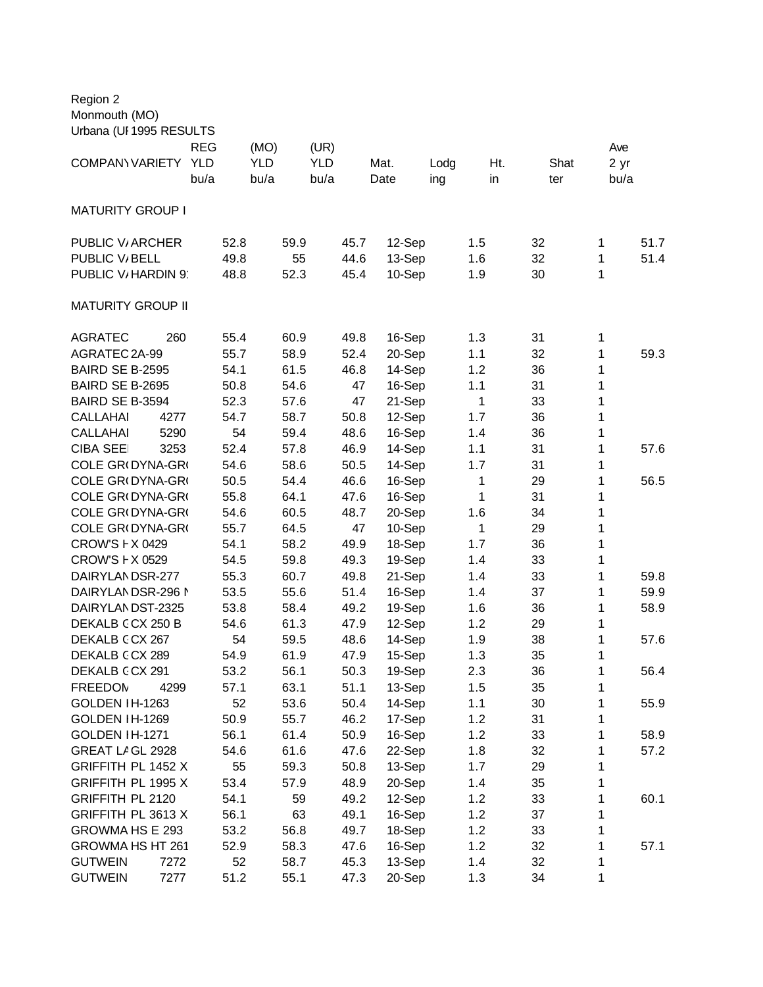| Region 2                 |            |      |            |            |      |        |      |     |    |      |      |      |
|--------------------------|------------|------|------------|------------|------|--------|------|-----|----|------|------|------|
| Monmouth (MO)            |            |      |            |            |      |        |      |     |    |      |      |      |
| Urbana (UI 1995 RESULTS  |            |      |            |            |      |        |      |     |    |      |      |      |
|                          | <b>REG</b> |      | (MO)       | (UR)       |      |        |      |     |    |      | Ave  |      |
| COMPANY VARIETY          | <b>YLD</b> |      | <b>YLD</b> | <b>YLD</b> |      | Mat.   | Lodg | Ht. |    | Shat | 2 yr |      |
|                          | bu/a       |      | bu/a       | bu/a       |      | Date   | ing  | in  |    | ter  | bu/a |      |
|                          |            |      |            |            |      |        |      |     |    |      |      |      |
| <b>MATURITY GROUP I</b>  |            |      |            |            |      |        |      |     |    |      |      |      |
|                          |            |      |            |            |      |        |      |     |    |      |      |      |
| <b>PUBLIC V/ ARCHER</b>  |            | 52.8 | 59.9       |            | 45.7 | 12-Sep |      | 1.5 | 32 |      | 1    | 51.7 |
| PUBLIC V/BELL            |            | 49.8 | 55         |            | 44.6 | 13-Sep |      | 1.6 | 32 |      | 1    | 51.4 |
| PUBLIC V/HARDIN 9        |            | 48.8 | 52.3       |            | 45.4 | 10-Sep |      | 1.9 | 30 |      | 1    |      |
|                          |            |      |            |            |      |        |      |     |    |      |      |      |
| <b>MATURITY GROUP II</b> |            |      |            |            |      |        |      |     |    |      |      |      |
|                          |            |      |            |            |      |        |      |     |    |      |      |      |
| <b>AGRATEC</b>           | 260        | 55.4 | 60.9       |            | 49.8 | 16-Sep |      | 1.3 | 31 |      | 1    |      |
| AGRATEC 2A-99            |            | 55.7 | 58.9       |            | 52.4 | 20-Sep |      | 1.1 | 32 |      | 1    | 59.3 |
| BAIRD SE B-2595          |            | 54.1 | 61.5       |            | 46.8 | 14-Sep |      | 1.2 | 36 |      | 1    |      |
| BAIRD SE B-2695          |            | 50.8 | 54.6       |            | 47   | 16-Sep |      | 1.1 | 31 |      | 1    |      |
| BAIRD SE B-3594          |            | 52.3 | 57.6       |            | 47   | 21-Sep |      | 1   | 33 |      | 1    |      |
| <b>CALLAHAI</b><br>4277  |            | 54.7 | 58.7       |            | 50.8 | 12-Sep |      | 1.7 | 36 |      | 1    |      |
| <b>CALLAHAI</b><br>5290  |            | 54   | 59.4       |            | 48.6 | 16-Sep |      | 1.4 | 36 |      | 1    |      |
| <b>CIBA SEE</b><br>3253  |            | 52.4 | 57.8       |            | 46.9 | 14-Sep |      | 1.1 | 31 |      | 1    | 57.6 |
| COLE GR(DYNA-GR(         |            | 54.6 | 58.6       |            | 50.5 | 14-Sep |      | 1.7 | 31 |      | 1    |      |
| COLE GR(DYNA-GR(         |            | 50.5 | 54.4       |            | 46.6 | 16-Sep |      | 1   | 29 |      | 1    | 56.5 |
| COLE GR(DYNA-GR(         |            | 55.8 | 64.1       |            | 47.6 | 16-Sep |      | 1   | 31 |      | 1    |      |
| COLE GR(DYNA-GR(         |            | 54.6 | 60.5       |            | 48.7 | 20-Sep |      | 1.6 | 34 |      | 1    |      |
| COLE GR(DYNA-GR(         |            | 55.7 | 64.5       |            | 47   | 10-Sep |      | 1   | 29 |      | 1    |      |
| CROW'S F X 0429          |            | 54.1 | 58.2       |            | 49.9 | 18-Sep |      | 1.7 | 36 |      | 1    |      |
| CROW'S F X 0529          |            | 54.5 | 59.8       |            | 49.3 | 19-Sep |      | 1.4 | 33 |      | 1    |      |
| DAIRYLANDSR-277          |            | 55.3 | 60.7       |            | 49.8 | 21-Sep |      | 1.4 | 33 |      | 1    | 59.8 |
| DAIRYLANDSR-296 N        |            | 53.5 | 55.6       |            | 51.4 | 16-Sep |      | 1.4 | 37 |      | 1    | 59.9 |
| DAIRYLANDST-2325         |            | 53.8 | 58.4       |            | 49.2 | 19-Sep |      | 1.6 | 36 |      | 1    | 58.9 |
| DEKALB CCX 250 B         |            | 54.6 | 61.3       |            | 47.9 | 12-Sep |      | 1.2 | 29 |      | 1    |      |
| DEKALB CCX 267           |            | 54   | 59.5       |            | 48.6 | 14-Sep |      | 1.9 | 38 |      | 1    | 57.6 |
| DEKALB CCX 289           |            | 54.9 | 61.9       |            | 47.9 | 15-Sep |      | 1.3 | 35 |      | 1    |      |
| DEKALB CCX 291           |            | 53.2 | 56.1       |            | 50.3 | 19-Sep |      | 2.3 | 36 |      | 1    | 56.4 |
| <b>FREEDOM</b><br>4299   |            | 57.1 | 63.1       |            | 51.1 | 13-Sep |      | 1.5 | 35 |      | 1    |      |
| GOLDEN IH-1263           |            | 52   | 53.6       |            | 50.4 | 14-Sep |      | 1.1 | 30 |      | 1    | 55.9 |
| GOLDEN IH-1269           |            | 50.9 | 55.7       |            | 46.2 | 17-Sep |      | 1.2 | 31 |      | 1    |      |
| GOLDEN IH-1271           |            | 56.1 | 61.4       |            | 50.9 | 16-Sep |      | 1.2 | 33 |      | 1    | 58.9 |
| GREAT LAGL 2928          |            | 54.6 | 61.6       |            | 47.6 | 22-Sep |      | 1.8 | 32 |      | 1    | 57.2 |
| GRIFFITH PL 1452 X       |            | 55   | 59.3       |            | 50.8 | 13-Sep |      | 1.7 | 29 |      | 1    |      |
| GRIFFITH PL 1995 X       |            | 53.4 | 57.9       |            | 48.9 | 20-Sep |      | 1.4 | 35 |      | 1    |      |
| <b>GRIFFITH PL 2120</b>  |            | 54.1 | 59         |            | 49.2 | 12-Sep |      | 1.2 | 33 |      | 1    | 60.1 |
| GRIFFITH PL 3613 X       |            | 56.1 | 63         |            | 49.1 | 16-Sep |      | 1.2 | 37 |      | 1    |      |
| GROWMA HS E 293          |            | 53.2 | 56.8       |            | 49.7 | 18-Sep |      | 1.2 | 33 |      | 1    |      |
| GROWMA HS HT 261         |            | 52.9 | 58.3       |            | 47.6 | 16-Sep |      | 1.2 | 32 |      | 1    | 57.1 |
| <b>GUTWEIN</b><br>7272   |            | 52   | 58.7       |            | 45.3 | 13-Sep |      | 1.4 | 32 |      | 1    |      |
| <b>GUTWEIN</b><br>7277   |            | 51.2 | 55.1       |            | 47.3 | 20-Sep |      | 1.3 | 34 |      | 1    |      |
|                          |            |      |            |            |      |        |      |     |    |      |      |      |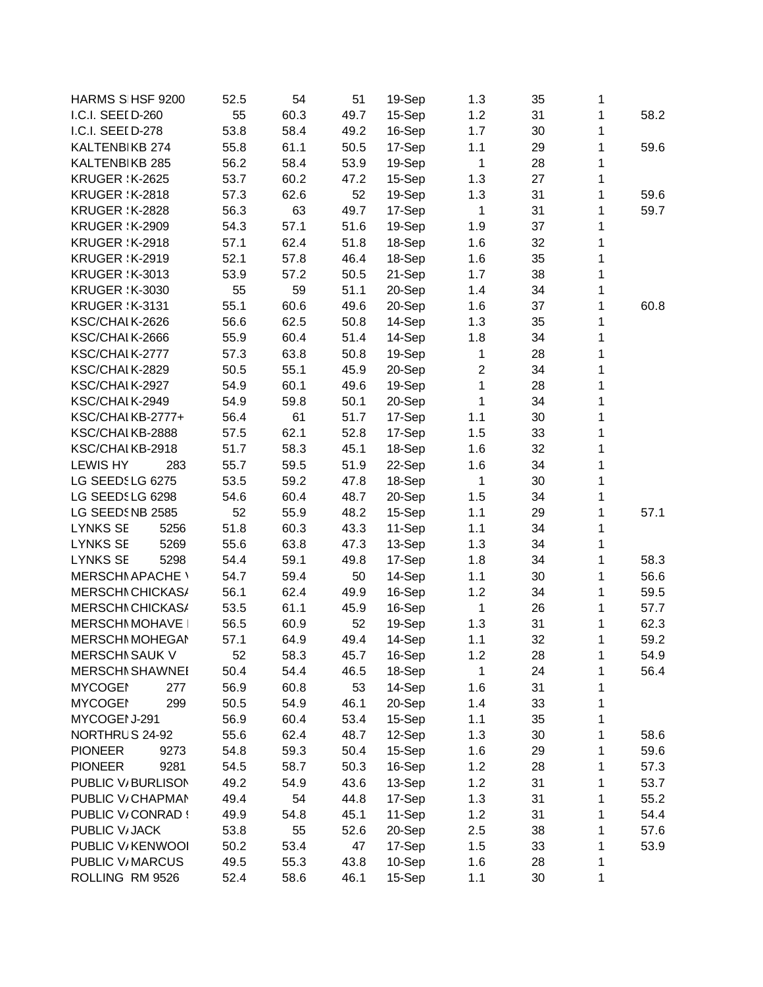| HARMS S HSF 9200        | 52.5 | 54   | 51   | 19-Sep | 1.3            | 35 | 1 |      |
|-------------------------|------|------|------|--------|----------------|----|---|------|
| I.C.I. SEEI D-260       | 55   | 60.3 | 49.7 | 15-Sep | 1.2            | 31 | 1 | 58.2 |
| I.C.I. SEEI D-278       | 53.8 | 58.4 | 49.2 | 16-Sep | 1.7            | 30 | 1 |      |
| KALTENBIKB 274          | 55.8 | 61.1 | 50.5 | 17-Sep | 1.1            | 29 | 1 | 59.6 |
| KALTENBIKB 285          | 56.2 | 58.4 | 53.9 | 19-Sep | $\mathbf 1$    | 28 | 1 |      |
| <b>KRUGER : K-2625</b>  | 53.7 | 60.2 | 47.2 | 15-Sep | 1.3            | 27 | 1 |      |
| <b>KRUGER : K-2818</b>  | 57.3 | 62.6 | 52   | 19-Sep | 1.3            | 31 | 1 | 59.6 |
| <b>KRUGER : K-2828</b>  | 56.3 | 63   | 49.7 | 17-Sep | $\mathbf 1$    | 31 | 1 | 59.7 |
| <b>KRUGER : K-2909</b>  | 54.3 | 57.1 | 51.6 | 19-Sep | 1.9            | 37 | 1 |      |
| <b>KRUGER : K-2918</b>  | 57.1 | 62.4 | 51.8 | 18-Sep | 1.6            | 32 | 1 |      |
| <b>KRUGER: K-2919</b>   | 52.1 | 57.8 | 46.4 | 18-Sep | 1.6            | 35 | 1 |      |
| <b>KRUGER : K-3013</b>  | 53.9 | 57.2 | 50.5 | 21-Sep | 1.7            | 38 | 1 |      |
| <b>KRUGER : K-3030</b>  | 55   | 59   | 51.1 | 20-Sep | 1.4            | 34 | 1 |      |
| <b>KRUGER : K-3131</b>  | 55.1 | 60.6 | 49.6 | 20-Sep | 1.6            | 37 | 1 | 60.8 |
| KSC/CHAIK-2626          | 56.6 | 62.5 | 50.8 | 14-Sep | 1.3            | 35 | 1 |      |
| KSC/CHAIK-2666          | 55.9 | 60.4 | 51.4 | 14-Sep | 1.8            | 34 | 1 |      |
| KSC/CHAIK-2777          | 57.3 | 63.8 | 50.8 | 19-Sep | $\mathbf{1}$   | 28 | 1 |      |
| KSC/CHAIK-2829          | 50.5 | 55.1 | 45.9 | 20-Sep | $\overline{c}$ | 34 | 1 |      |
| KSC/CHAIK-2927          | 54.9 | 60.1 | 49.6 | 19-Sep | $\mathbf{1}$   | 28 | 1 |      |
| KSC/CHAIK-2949          | 54.9 | 59.8 | 50.1 | 20-Sep | 1              | 34 | 1 |      |
| KSC/CHAIKB-2777+        | 56.4 | 61   | 51.7 | 17-Sep | 1.1            | 30 | 1 |      |
| KSC/CHAIKB-2888         | 57.5 | 62.1 | 52.8 | 17-Sep | 1.5            | 33 | 1 |      |
| KSC/CHAIKB-2918         | 51.7 | 58.3 | 45.1 | 18-Sep | 1.6            | 32 | 1 |      |
| <b>LEWIS HY</b><br>283  | 55.7 | 59.5 | 51.9 | 22-Sep | 1.6            | 34 | 1 |      |
| LG SEEDSLG 6275         | 53.5 | 59.2 | 47.8 | 18-Sep | $\mathbf{1}$   | 30 | 1 |      |
| LG SEEDSLG 6298         | 54.6 | 60.4 | 48.7 | 20-Sep | 1.5            | 34 | 1 |      |
| LG SEEDSNB 2585         | 52   | 55.9 | 48.2 | 15-Sep | 1.1            | 29 | 1 | 57.1 |
| <b>LYNKS SE</b><br>5256 | 51.8 | 60.3 | 43.3 | 11-Sep | 1.1            | 34 | 1 |      |
| 5269<br><b>LYNKS SE</b> | 55.6 | 63.8 | 47.3 | 13-Sep | 1.3            | 34 | 1 |      |
| <b>LYNKS SE</b><br>5298 | 54.4 | 59.1 | 49.8 | 17-Sep | 1.8            | 34 | 1 | 58.3 |
| <b>MERSCHI APACHE \</b> | 54.7 | 59.4 | 50   | 14-Sep | 1.1            | 30 | 1 | 56.6 |
| MERSCHI CHICKAS/        | 56.1 |      |      | 16-Sep |                | 34 | 1 |      |
|                         |      | 62.4 | 49.9 |        | 1.2            |    |   | 59.5 |
| MERSCHI CHICKAS/        | 53.5 | 61.1 | 45.9 | 16-Sep | $\mathbf{1}$   | 26 | 1 | 57.7 |
| <b>MERSCHNMOHAVE</b>    | 56.5 | 60.9 | 52   | 19-Sep | 1.3            | 31 | 1 | 62.3 |
| <b>MERSCHI MOHEGAI</b>  | 57.1 | 64.9 | 49.4 | 14-Sep | 1.1            | 32 | 1 | 59.2 |
| <b>MERSCHI SAUK V</b>   | 52   | 58.3 | 45.7 | 16-Sep | 1.2            | 28 | 1 | 54.9 |
| <b>MERSCHI SHAWNEI</b>  | 50.4 | 54.4 | 46.5 | 18-Sep | 1              | 24 | 1 | 56.4 |
| <b>MYCOGEI</b><br>277   | 56.9 | 60.8 | 53   | 14-Sep | 1.6            | 31 | 1 |      |
| <b>MYCOGEI</b><br>299   | 50.5 | 54.9 | 46.1 | 20-Sep | 1.4            | 33 | 1 |      |
| MYCOGEI J-291           | 56.9 | 60.4 | 53.4 | 15-Sep | 1.1            | 35 | 1 |      |
| NORTHRUS 24-92          | 55.6 | 62.4 | 48.7 | 12-Sep | 1.3            | 30 | 1 | 58.6 |
| <b>PIONEER</b><br>9273  | 54.8 | 59.3 | 50.4 | 15-Sep | 1.6            | 29 | 1 | 59.6 |
| 9281<br><b>PIONEER</b>  | 54.5 | 58.7 | 50.3 | 16-Sep | 1.2            | 28 | 1 | 57.3 |
| PUBLIC V/BURLISON       | 49.2 | 54.9 | 43.6 | 13-Sep | 1.2            | 31 | 1 | 53.7 |
| PUBLIC V/CHAPMAN        | 49.4 | 54   | 44.8 | 17-Sep | 1.3            | 31 | 1 | 55.2 |
| PUBLIC V/CONRAD!        | 49.9 | 54.8 | 45.1 | 11-Sep | 1.2            | 31 | 1 | 54.4 |
| PUBLIC V/JACK           | 53.8 | 55   | 52.6 | 20-Sep | 2.5            | 38 | 1 | 57.6 |
| PUBLIC V/KENWOOI        | 50.2 | 53.4 | 47   | 17-Sep | 1.5            | 33 | 1 | 53.9 |
| PUBLIC V/MARCUS         | 49.5 | 55.3 | 43.8 | 10-Sep | 1.6            | 28 | 1 |      |
| ROLLING RM 9526         | 52.4 | 58.6 | 46.1 | 15-Sep | 1.1            | 30 | 1 |      |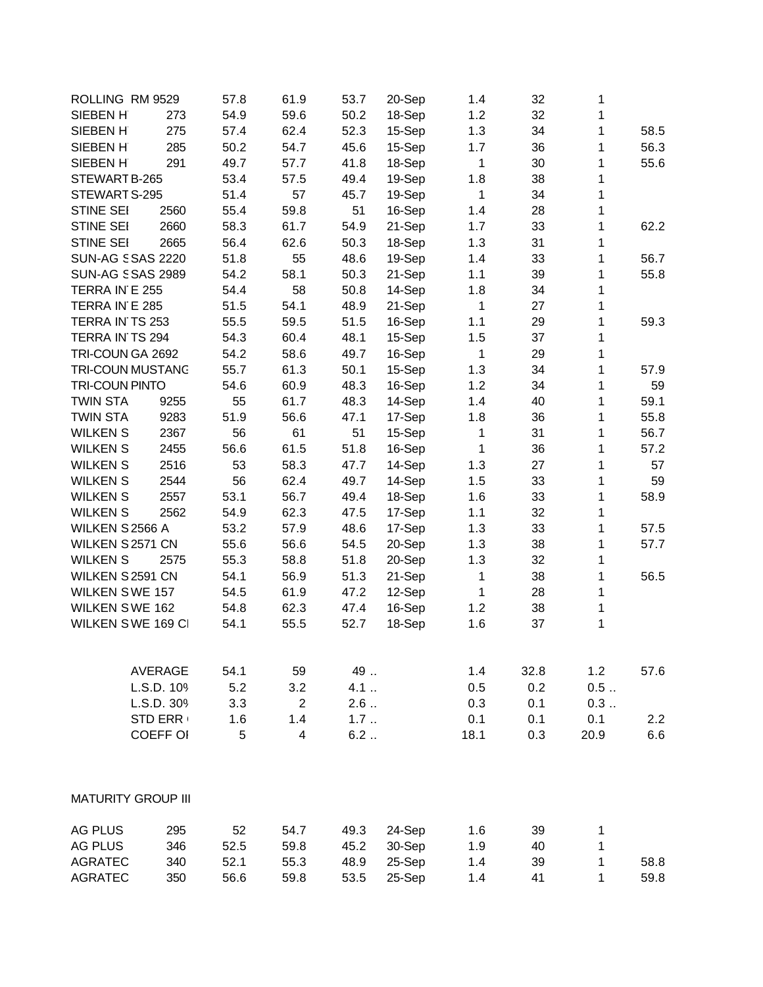| SIEBEN H<br>54.9<br>59.6<br>50.2<br>32<br>273<br>18-Sep<br>1.2<br>1<br>275<br>1.3<br>1<br>SIEBEN H<br>57.4<br>62.4<br>52.3<br>15-Sep<br>34<br>58.5<br>285<br>50.2<br>56.3<br>SIEBEN H<br>54.7<br>45.6<br>15-Sep<br>1.7<br>36<br>1<br>49.7<br>41.8<br>55.6<br>SIEBEN H<br>291<br>57.7<br>18-Sep<br>1<br>30<br>1<br>53.4<br>49.4<br>38<br>STEWART B-265<br>57.5<br>19-Sep<br>1.8<br>1<br>51.4<br>57<br>1<br>STEWART S-295<br>45.7<br>19-Sep<br>$\mathbf 1$<br>34<br><b>STINE SEI</b><br>2560<br>55.4<br>59.8<br>51<br>16-Sep<br>1.4<br>28<br>1<br>58.3<br>61.7<br>1<br><b>STINE SEI</b><br>2660<br>54.9<br>21-Sep<br>1.7<br>33<br>62.2<br>STINE SEI<br>56.4<br>50.3<br>1.3<br>$\mathbf{1}$<br>2665<br>62.6<br>18-Sep<br>31<br>51.8<br>48.6<br>1<br><b>SUN-AG S SAS 2220</b><br>55<br>19-Sep<br>33<br>56.7<br>1.4<br><b>SUN-AG SSAS 2989</b><br>50.3<br>54.2<br>58.1<br>21-Sep<br>1.1<br>39<br>1<br>55.8<br>TERRA IN E 255<br>54.4<br>58<br>50.8<br>14-Sep<br>1.8<br>34<br>1<br>TERRA IN E 285<br>51.5<br>48.9<br>21-Sep<br>54.1<br>1<br>27<br>1<br>TERRA IN TS 253<br>55.5<br>59.5<br>51.5<br>1<br>16-Sep<br>1.1<br>29<br>59.3<br>TERRA IN TS 294<br>54.3<br>60.4<br>48.1<br>15-Sep<br>1.5<br>37<br>1<br>TRI-COUN GA 2692<br>58.6<br>$\mathbf{1}$<br>$\mathbf{1}$<br>54.2<br>49.7<br>16-Sep<br>29<br><b>TRI-COUN MUSTANG</b><br>1.3<br>1<br>55.7<br>61.3<br>50.1<br>15-Sep<br>34<br>57.9<br><b>TRI-COUN PINTO</b><br>48.3<br>1<br>54.6<br>60.9<br>16-Sep<br>1.2<br>34<br>59<br><b>TWIN STA</b><br>61.7<br>59.1<br>9255<br>55<br>48.3<br>14-Sep<br>1.4<br>40<br>1<br>9283<br>51.9<br>55.8<br><b>TWIN STA</b><br>56.6<br>47.1<br>17-Sep<br>1.8<br>36<br>1<br>56<br>61<br>51<br>56.7<br><b>WILKEN S</b><br>2367<br>15-Sep<br>1<br>31<br>1<br>56.6<br><b>WILKEN S</b><br>2455<br>61.5<br>51.8<br>16-Sep<br>$\mathbf 1$<br>36<br>1<br>57.2<br>2516<br>58.3<br><b>WILKEN S</b><br>53<br>47.7<br>14-Sep<br>1.3<br>27<br>1<br>57<br>1<br><b>WILKEN S</b><br>2544<br>56<br>62.4<br>49.7<br>14-Sep<br>1.5<br>33<br>59<br>$\mathbf{1}$<br>58.9<br><b>WILKEN S</b><br>2557<br>53.1<br>56.7<br>49.4<br>18-Sep<br>1.6<br>33<br>1<br><b>WILKEN S</b><br>2562<br>54.9<br>62.3<br>47.5<br>17-Sep<br>1.1<br>32<br>WILKEN S 2566 A<br>53.2<br>48.6<br>57.9<br>17-Sep<br>1.3<br>33<br>1<br>57.5<br>WILKEN S 2571 CN<br>55.6<br>56.6<br>20-Sep<br>57.7<br>54.5<br>1.3<br>38<br>1<br><b>WILKEN S</b><br>51.8<br>20-Sep<br>2575<br>55.3<br>58.8<br>1.3<br>32<br>1<br>WILKEN S 2591 CN<br>51.3<br>1<br>54.1<br>56.9<br>21-Sep<br>1<br>38<br>56.5<br><b>WILKEN SWE 157</b><br>$\mathbf{1}$<br>54.5<br>61.9<br>47.2<br>12-Sep<br>28<br>1<br><b>WILKEN SWE 162</b><br>1<br>54.8<br>62.3<br>47.4<br>16-Sep<br>1.2<br>38<br>WILKEN SWE 169 CI<br>52.7<br>1.6<br>1<br>54.1<br>55.5<br>18-Sep<br>37<br>49<br><b>AVERAGE</b><br>54.1<br>59<br>1.4<br>32.8<br>1.2<br>57.6<br>L.S.D. 109<br>5.2<br>3.2<br>4.1<br>0.2<br>0.5<br>0.5<br>2.6<br>L.S.D. 309<br>$\overline{2}$<br>0.1<br>0.3<br>3.3<br>0.3<br><b>STD ERR</b><br>1.4<br>1.7<br>0.1<br>0.1<br>0.1<br>2.2<br>1.6<br>COEFF OI<br>6.2<br>5<br>$\overline{4}$<br>18.1<br>0.3<br>20.9<br>6.6<br><b>MATURITY GROUP III</b><br>295<br>52<br>AG PLUS<br>54.7<br>49.3<br>24-Sep<br>1.6<br>39<br>1<br>AG PLUS<br>346<br>59.8<br>30-Sep<br>1<br>52.5<br>45.2<br>1.9<br>40<br><b>AGRATEC</b><br>52.1<br>48.9<br>25-Sep<br>1<br>340<br>55.3<br>1.4<br>39<br>58.8<br><b>AGRATEC</b><br>350<br>56.6<br>59.8<br>53.5<br>25-Sep<br>41<br>1<br>59.8<br>1.4 | ROLLING RM 9529 | 57.8 | 61.9 | 53.7 | 20-Sep | 1.4 | 32 | 1 |  |
|---------------------------------------------------------------------------------------------------------------------------------------------------------------------------------------------------------------------------------------------------------------------------------------------------------------------------------------------------------------------------------------------------------------------------------------------------------------------------------------------------------------------------------------------------------------------------------------------------------------------------------------------------------------------------------------------------------------------------------------------------------------------------------------------------------------------------------------------------------------------------------------------------------------------------------------------------------------------------------------------------------------------------------------------------------------------------------------------------------------------------------------------------------------------------------------------------------------------------------------------------------------------------------------------------------------------------------------------------------------------------------------------------------------------------------------------------------------------------------------------------------------------------------------------------------------------------------------------------------------------------------------------------------------------------------------------------------------------------------------------------------------------------------------------------------------------------------------------------------------------------------------------------------------------------------------------------------------------------------------------------------------------------------------------------------------------------------------------------------------------------------------------------------------------------------------------------------------------------------------------------------------------------------------------------------------------------------------------------------------------------------------------------------------------------------------------------------------------------------------------------------------------------------------------------------------------------------------------------------------------------------------------------------------------------------------------------------------------------------------------------------------------------------------------------------------------------------------------------------------------------------------------------------------------------------------------------------------------------------------------------------------------------------------------------------------------------------------------------------------------------------------------------------------------------------------------------------------------------------------------------------------------------------------------------------------------------------------------------------------------------------------------------------------------------------------------------------------|-----------------|------|------|------|--------|-----|----|---|--|
|                                                                                                                                                                                                                                                                                                                                                                                                                                                                                                                                                                                                                                                                                                                                                                                                                                                                                                                                                                                                                                                                                                                                                                                                                                                                                                                                                                                                                                                                                                                                                                                                                                                                                                                                                                                                                                                                                                                                                                                                                                                                                                                                                                                                                                                                                                                                                                                                                                                                                                                                                                                                                                                                                                                                                                                                                                                                                                                                                                                                                                                                                                                                                                                                                                                                                                                                                                                                                                                               |                 |      |      |      |        |     |    |   |  |
|                                                                                                                                                                                                                                                                                                                                                                                                                                                                                                                                                                                                                                                                                                                                                                                                                                                                                                                                                                                                                                                                                                                                                                                                                                                                                                                                                                                                                                                                                                                                                                                                                                                                                                                                                                                                                                                                                                                                                                                                                                                                                                                                                                                                                                                                                                                                                                                                                                                                                                                                                                                                                                                                                                                                                                                                                                                                                                                                                                                                                                                                                                                                                                                                                                                                                                                                                                                                                                                               |                 |      |      |      |        |     |    |   |  |
|                                                                                                                                                                                                                                                                                                                                                                                                                                                                                                                                                                                                                                                                                                                                                                                                                                                                                                                                                                                                                                                                                                                                                                                                                                                                                                                                                                                                                                                                                                                                                                                                                                                                                                                                                                                                                                                                                                                                                                                                                                                                                                                                                                                                                                                                                                                                                                                                                                                                                                                                                                                                                                                                                                                                                                                                                                                                                                                                                                                                                                                                                                                                                                                                                                                                                                                                                                                                                                                               |                 |      |      |      |        |     |    |   |  |
|                                                                                                                                                                                                                                                                                                                                                                                                                                                                                                                                                                                                                                                                                                                                                                                                                                                                                                                                                                                                                                                                                                                                                                                                                                                                                                                                                                                                                                                                                                                                                                                                                                                                                                                                                                                                                                                                                                                                                                                                                                                                                                                                                                                                                                                                                                                                                                                                                                                                                                                                                                                                                                                                                                                                                                                                                                                                                                                                                                                                                                                                                                                                                                                                                                                                                                                                                                                                                                                               |                 |      |      |      |        |     |    |   |  |
|                                                                                                                                                                                                                                                                                                                                                                                                                                                                                                                                                                                                                                                                                                                                                                                                                                                                                                                                                                                                                                                                                                                                                                                                                                                                                                                                                                                                                                                                                                                                                                                                                                                                                                                                                                                                                                                                                                                                                                                                                                                                                                                                                                                                                                                                                                                                                                                                                                                                                                                                                                                                                                                                                                                                                                                                                                                                                                                                                                                                                                                                                                                                                                                                                                                                                                                                                                                                                                                               |                 |      |      |      |        |     |    |   |  |
|                                                                                                                                                                                                                                                                                                                                                                                                                                                                                                                                                                                                                                                                                                                                                                                                                                                                                                                                                                                                                                                                                                                                                                                                                                                                                                                                                                                                                                                                                                                                                                                                                                                                                                                                                                                                                                                                                                                                                                                                                                                                                                                                                                                                                                                                                                                                                                                                                                                                                                                                                                                                                                                                                                                                                                                                                                                                                                                                                                                                                                                                                                                                                                                                                                                                                                                                                                                                                                                               |                 |      |      |      |        |     |    |   |  |
|                                                                                                                                                                                                                                                                                                                                                                                                                                                                                                                                                                                                                                                                                                                                                                                                                                                                                                                                                                                                                                                                                                                                                                                                                                                                                                                                                                                                                                                                                                                                                                                                                                                                                                                                                                                                                                                                                                                                                                                                                                                                                                                                                                                                                                                                                                                                                                                                                                                                                                                                                                                                                                                                                                                                                                                                                                                                                                                                                                                                                                                                                                                                                                                                                                                                                                                                                                                                                                                               |                 |      |      |      |        |     |    |   |  |
|                                                                                                                                                                                                                                                                                                                                                                                                                                                                                                                                                                                                                                                                                                                                                                                                                                                                                                                                                                                                                                                                                                                                                                                                                                                                                                                                                                                                                                                                                                                                                                                                                                                                                                                                                                                                                                                                                                                                                                                                                                                                                                                                                                                                                                                                                                                                                                                                                                                                                                                                                                                                                                                                                                                                                                                                                                                                                                                                                                                                                                                                                                                                                                                                                                                                                                                                                                                                                                                               |                 |      |      |      |        |     |    |   |  |
|                                                                                                                                                                                                                                                                                                                                                                                                                                                                                                                                                                                                                                                                                                                                                                                                                                                                                                                                                                                                                                                                                                                                                                                                                                                                                                                                                                                                                                                                                                                                                                                                                                                                                                                                                                                                                                                                                                                                                                                                                                                                                                                                                                                                                                                                                                                                                                                                                                                                                                                                                                                                                                                                                                                                                                                                                                                                                                                                                                                                                                                                                                                                                                                                                                                                                                                                                                                                                                                               |                 |      |      |      |        |     |    |   |  |
|                                                                                                                                                                                                                                                                                                                                                                                                                                                                                                                                                                                                                                                                                                                                                                                                                                                                                                                                                                                                                                                                                                                                                                                                                                                                                                                                                                                                                                                                                                                                                                                                                                                                                                                                                                                                                                                                                                                                                                                                                                                                                                                                                                                                                                                                                                                                                                                                                                                                                                                                                                                                                                                                                                                                                                                                                                                                                                                                                                                                                                                                                                                                                                                                                                                                                                                                                                                                                                                               |                 |      |      |      |        |     |    |   |  |
|                                                                                                                                                                                                                                                                                                                                                                                                                                                                                                                                                                                                                                                                                                                                                                                                                                                                                                                                                                                                                                                                                                                                                                                                                                                                                                                                                                                                                                                                                                                                                                                                                                                                                                                                                                                                                                                                                                                                                                                                                                                                                                                                                                                                                                                                                                                                                                                                                                                                                                                                                                                                                                                                                                                                                                                                                                                                                                                                                                                                                                                                                                                                                                                                                                                                                                                                                                                                                                                               |                 |      |      |      |        |     |    |   |  |
|                                                                                                                                                                                                                                                                                                                                                                                                                                                                                                                                                                                                                                                                                                                                                                                                                                                                                                                                                                                                                                                                                                                                                                                                                                                                                                                                                                                                                                                                                                                                                                                                                                                                                                                                                                                                                                                                                                                                                                                                                                                                                                                                                                                                                                                                                                                                                                                                                                                                                                                                                                                                                                                                                                                                                                                                                                                                                                                                                                                                                                                                                                                                                                                                                                                                                                                                                                                                                                                               |                 |      |      |      |        |     |    |   |  |
|                                                                                                                                                                                                                                                                                                                                                                                                                                                                                                                                                                                                                                                                                                                                                                                                                                                                                                                                                                                                                                                                                                                                                                                                                                                                                                                                                                                                                                                                                                                                                                                                                                                                                                                                                                                                                                                                                                                                                                                                                                                                                                                                                                                                                                                                                                                                                                                                                                                                                                                                                                                                                                                                                                                                                                                                                                                                                                                                                                                                                                                                                                                                                                                                                                                                                                                                                                                                                                                               |                 |      |      |      |        |     |    |   |  |
|                                                                                                                                                                                                                                                                                                                                                                                                                                                                                                                                                                                                                                                                                                                                                                                                                                                                                                                                                                                                                                                                                                                                                                                                                                                                                                                                                                                                                                                                                                                                                                                                                                                                                                                                                                                                                                                                                                                                                                                                                                                                                                                                                                                                                                                                                                                                                                                                                                                                                                                                                                                                                                                                                                                                                                                                                                                                                                                                                                                                                                                                                                                                                                                                                                                                                                                                                                                                                                                               |                 |      |      |      |        |     |    |   |  |
|                                                                                                                                                                                                                                                                                                                                                                                                                                                                                                                                                                                                                                                                                                                                                                                                                                                                                                                                                                                                                                                                                                                                                                                                                                                                                                                                                                                                                                                                                                                                                                                                                                                                                                                                                                                                                                                                                                                                                                                                                                                                                                                                                                                                                                                                                                                                                                                                                                                                                                                                                                                                                                                                                                                                                                                                                                                                                                                                                                                                                                                                                                                                                                                                                                                                                                                                                                                                                                                               |                 |      |      |      |        |     |    |   |  |
|                                                                                                                                                                                                                                                                                                                                                                                                                                                                                                                                                                                                                                                                                                                                                                                                                                                                                                                                                                                                                                                                                                                                                                                                                                                                                                                                                                                                                                                                                                                                                                                                                                                                                                                                                                                                                                                                                                                                                                                                                                                                                                                                                                                                                                                                                                                                                                                                                                                                                                                                                                                                                                                                                                                                                                                                                                                                                                                                                                                                                                                                                                                                                                                                                                                                                                                                                                                                                                                               |                 |      |      |      |        |     |    |   |  |
|                                                                                                                                                                                                                                                                                                                                                                                                                                                                                                                                                                                                                                                                                                                                                                                                                                                                                                                                                                                                                                                                                                                                                                                                                                                                                                                                                                                                                                                                                                                                                                                                                                                                                                                                                                                                                                                                                                                                                                                                                                                                                                                                                                                                                                                                                                                                                                                                                                                                                                                                                                                                                                                                                                                                                                                                                                                                                                                                                                                                                                                                                                                                                                                                                                                                                                                                                                                                                                                               |                 |      |      |      |        |     |    |   |  |
|                                                                                                                                                                                                                                                                                                                                                                                                                                                                                                                                                                                                                                                                                                                                                                                                                                                                                                                                                                                                                                                                                                                                                                                                                                                                                                                                                                                                                                                                                                                                                                                                                                                                                                                                                                                                                                                                                                                                                                                                                                                                                                                                                                                                                                                                                                                                                                                                                                                                                                                                                                                                                                                                                                                                                                                                                                                                                                                                                                                                                                                                                                                                                                                                                                                                                                                                                                                                                                                               |                 |      |      |      |        |     |    |   |  |
|                                                                                                                                                                                                                                                                                                                                                                                                                                                                                                                                                                                                                                                                                                                                                                                                                                                                                                                                                                                                                                                                                                                                                                                                                                                                                                                                                                                                                                                                                                                                                                                                                                                                                                                                                                                                                                                                                                                                                                                                                                                                                                                                                                                                                                                                                                                                                                                                                                                                                                                                                                                                                                                                                                                                                                                                                                                                                                                                                                                                                                                                                                                                                                                                                                                                                                                                                                                                                                                               |                 |      |      |      |        |     |    |   |  |
|                                                                                                                                                                                                                                                                                                                                                                                                                                                                                                                                                                                                                                                                                                                                                                                                                                                                                                                                                                                                                                                                                                                                                                                                                                                                                                                                                                                                                                                                                                                                                                                                                                                                                                                                                                                                                                                                                                                                                                                                                                                                                                                                                                                                                                                                                                                                                                                                                                                                                                                                                                                                                                                                                                                                                                                                                                                                                                                                                                                                                                                                                                                                                                                                                                                                                                                                                                                                                                                               |                 |      |      |      |        |     |    |   |  |
|                                                                                                                                                                                                                                                                                                                                                                                                                                                                                                                                                                                                                                                                                                                                                                                                                                                                                                                                                                                                                                                                                                                                                                                                                                                                                                                                                                                                                                                                                                                                                                                                                                                                                                                                                                                                                                                                                                                                                                                                                                                                                                                                                                                                                                                                                                                                                                                                                                                                                                                                                                                                                                                                                                                                                                                                                                                                                                                                                                                                                                                                                                                                                                                                                                                                                                                                                                                                                                                               |                 |      |      |      |        |     |    |   |  |
|                                                                                                                                                                                                                                                                                                                                                                                                                                                                                                                                                                                                                                                                                                                                                                                                                                                                                                                                                                                                                                                                                                                                                                                                                                                                                                                                                                                                                                                                                                                                                                                                                                                                                                                                                                                                                                                                                                                                                                                                                                                                                                                                                                                                                                                                                                                                                                                                                                                                                                                                                                                                                                                                                                                                                                                                                                                                                                                                                                                                                                                                                                                                                                                                                                                                                                                                                                                                                                                               |                 |      |      |      |        |     |    |   |  |
|                                                                                                                                                                                                                                                                                                                                                                                                                                                                                                                                                                                                                                                                                                                                                                                                                                                                                                                                                                                                                                                                                                                                                                                                                                                                                                                                                                                                                                                                                                                                                                                                                                                                                                                                                                                                                                                                                                                                                                                                                                                                                                                                                                                                                                                                                                                                                                                                                                                                                                                                                                                                                                                                                                                                                                                                                                                                                                                                                                                                                                                                                                                                                                                                                                                                                                                                                                                                                                                               |                 |      |      |      |        |     |    |   |  |
|                                                                                                                                                                                                                                                                                                                                                                                                                                                                                                                                                                                                                                                                                                                                                                                                                                                                                                                                                                                                                                                                                                                                                                                                                                                                                                                                                                                                                                                                                                                                                                                                                                                                                                                                                                                                                                                                                                                                                                                                                                                                                                                                                                                                                                                                                                                                                                                                                                                                                                                                                                                                                                                                                                                                                                                                                                                                                                                                                                                                                                                                                                                                                                                                                                                                                                                                                                                                                                                               |                 |      |      |      |        |     |    |   |  |
|                                                                                                                                                                                                                                                                                                                                                                                                                                                                                                                                                                                                                                                                                                                                                                                                                                                                                                                                                                                                                                                                                                                                                                                                                                                                                                                                                                                                                                                                                                                                                                                                                                                                                                                                                                                                                                                                                                                                                                                                                                                                                                                                                                                                                                                                                                                                                                                                                                                                                                                                                                                                                                                                                                                                                                                                                                                                                                                                                                                                                                                                                                                                                                                                                                                                                                                                                                                                                                                               |                 |      |      |      |        |     |    |   |  |
|                                                                                                                                                                                                                                                                                                                                                                                                                                                                                                                                                                                                                                                                                                                                                                                                                                                                                                                                                                                                                                                                                                                                                                                                                                                                                                                                                                                                                                                                                                                                                                                                                                                                                                                                                                                                                                                                                                                                                                                                                                                                                                                                                                                                                                                                                                                                                                                                                                                                                                                                                                                                                                                                                                                                                                                                                                                                                                                                                                                                                                                                                                                                                                                                                                                                                                                                                                                                                                                               |                 |      |      |      |        |     |    |   |  |
|                                                                                                                                                                                                                                                                                                                                                                                                                                                                                                                                                                                                                                                                                                                                                                                                                                                                                                                                                                                                                                                                                                                                                                                                                                                                                                                                                                                                                                                                                                                                                                                                                                                                                                                                                                                                                                                                                                                                                                                                                                                                                                                                                                                                                                                                                                                                                                                                                                                                                                                                                                                                                                                                                                                                                                                                                                                                                                                                                                                                                                                                                                                                                                                                                                                                                                                                                                                                                                                               |                 |      |      |      |        |     |    |   |  |
|                                                                                                                                                                                                                                                                                                                                                                                                                                                                                                                                                                                                                                                                                                                                                                                                                                                                                                                                                                                                                                                                                                                                                                                                                                                                                                                                                                                                                                                                                                                                                                                                                                                                                                                                                                                                                                                                                                                                                                                                                                                                                                                                                                                                                                                                                                                                                                                                                                                                                                                                                                                                                                                                                                                                                                                                                                                                                                                                                                                                                                                                                                                                                                                                                                                                                                                                                                                                                                                               |                 |      |      |      |        |     |    |   |  |
|                                                                                                                                                                                                                                                                                                                                                                                                                                                                                                                                                                                                                                                                                                                                                                                                                                                                                                                                                                                                                                                                                                                                                                                                                                                                                                                                                                                                                                                                                                                                                                                                                                                                                                                                                                                                                                                                                                                                                                                                                                                                                                                                                                                                                                                                                                                                                                                                                                                                                                                                                                                                                                                                                                                                                                                                                                                                                                                                                                                                                                                                                                                                                                                                                                                                                                                                                                                                                                                               |                 |      |      |      |        |     |    |   |  |
|                                                                                                                                                                                                                                                                                                                                                                                                                                                                                                                                                                                                                                                                                                                                                                                                                                                                                                                                                                                                                                                                                                                                                                                                                                                                                                                                                                                                                                                                                                                                                                                                                                                                                                                                                                                                                                                                                                                                                                                                                                                                                                                                                                                                                                                                                                                                                                                                                                                                                                                                                                                                                                                                                                                                                                                                                                                                                                                                                                                                                                                                                                                                                                                                                                                                                                                                                                                                                                                               |                 |      |      |      |        |     |    |   |  |
|                                                                                                                                                                                                                                                                                                                                                                                                                                                                                                                                                                                                                                                                                                                                                                                                                                                                                                                                                                                                                                                                                                                                                                                                                                                                                                                                                                                                                                                                                                                                                                                                                                                                                                                                                                                                                                                                                                                                                                                                                                                                                                                                                                                                                                                                                                                                                                                                                                                                                                                                                                                                                                                                                                                                                                                                                                                                                                                                                                                                                                                                                                                                                                                                                                                                                                                                                                                                                                                               |                 |      |      |      |        |     |    |   |  |
|                                                                                                                                                                                                                                                                                                                                                                                                                                                                                                                                                                                                                                                                                                                                                                                                                                                                                                                                                                                                                                                                                                                                                                                                                                                                                                                                                                                                                                                                                                                                                                                                                                                                                                                                                                                                                                                                                                                                                                                                                                                                                                                                                                                                                                                                                                                                                                                                                                                                                                                                                                                                                                                                                                                                                                                                                                                                                                                                                                                                                                                                                                                                                                                                                                                                                                                                                                                                                                                               |                 |      |      |      |        |     |    |   |  |
|                                                                                                                                                                                                                                                                                                                                                                                                                                                                                                                                                                                                                                                                                                                                                                                                                                                                                                                                                                                                                                                                                                                                                                                                                                                                                                                                                                                                                                                                                                                                                                                                                                                                                                                                                                                                                                                                                                                                                                                                                                                                                                                                                                                                                                                                                                                                                                                                                                                                                                                                                                                                                                                                                                                                                                                                                                                                                                                                                                                                                                                                                                                                                                                                                                                                                                                                                                                                                                                               |                 |      |      |      |        |     |    |   |  |
|                                                                                                                                                                                                                                                                                                                                                                                                                                                                                                                                                                                                                                                                                                                                                                                                                                                                                                                                                                                                                                                                                                                                                                                                                                                                                                                                                                                                                                                                                                                                                                                                                                                                                                                                                                                                                                                                                                                                                                                                                                                                                                                                                                                                                                                                                                                                                                                                                                                                                                                                                                                                                                                                                                                                                                                                                                                                                                                                                                                                                                                                                                                                                                                                                                                                                                                                                                                                                                                               |                 |      |      |      |        |     |    |   |  |
|                                                                                                                                                                                                                                                                                                                                                                                                                                                                                                                                                                                                                                                                                                                                                                                                                                                                                                                                                                                                                                                                                                                                                                                                                                                                                                                                                                                                                                                                                                                                                                                                                                                                                                                                                                                                                                                                                                                                                                                                                                                                                                                                                                                                                                                                                                                                                                                                                                                                                                                                                                                                                                                                                                                                                                                                                                                                                                                                                                                                                                                                                                                                                                                                                                                                                                                                                                                                                                                               |                 |      |      |      |        |     |    |   |  |
|                                                                                                                                                                                                                                                                                                                                                                                                                                                                                                                                                                                                                                                                                                                                                                                                                                                                                                                                                                                                                                                                                                                                                                                                                                                                                                                                                                                                                                                                                                                                                                                                                                                                                                                                                                                                                                                                                                                                                                                                                                                                                                                                                                                                                                                                                                                                                                                                                                                                                                                                                                                                                                                                                                                                                                                                                                                                                                                                                                                                                                                                                                                                                                                                                                                                                                                                                                                                                                                               |                 |      |      |      |        |     |    |   |  |
|                                                                                                                                                                                                                                                                                                                                                                                                                                                                                                                                                                                                                                                                                                                                                                                                                                                                                                                                                                                                                                                                                                                                                                                                                                                                                                                                                                                                                                                                                                                                                                                                                                                                                                                                                                                                                                                                                                                                                                                                                                                                                                                                                                                                                                                                                                                                                                                                                                                                                                                                                                                                                                                                                                                                                                                                                                                                                                                                                                                                                                                                                                                                                                                                                                                                                                                                                                                                                                                               |                 |      |      |      |        |     |    |   |  |
|                                                                                                                                                                                                                                                                                                                                                                                                                                                                                                                                                                                                                                                                                                                                                                                                                                                                                                                                                                                                                                                                                                                                                                                                                                                                                                                                                                                                                                                                                                                                                                                                                                                                                                                                                                                                                                                                                                                                                                                                                                                                                                                                                                                                                                                                                                                                                                                                                                                                                                                                                                                                                                                                                                                                                                                                                                                                                                                                                                                                                                                                                                                                                                                                                                                                                                                                                                                                                                                               |                 |      |      |      |        |     |    |   |  |
|                                                                                                                                                                                                                                                                                                                                                                                                                                                                                                                                                                                                                                                                                                                                                                                                                                                                                                                                                                                                                                                                                                                                                                                                                                                                                                                                                                                                                                                                                                                                                                                                                                                                                                                                                                                                                                                                                                                                                                                                                                                                                                                                                                                                                                                                                                                                                                                                                                                                                                                                                                                                                                                                                                                                                                                                                                                                                                                                                                                                                                                                                                                                                                                                                                                                                                                                                                                                                                                               |                 |      |      |      |        |     |    |   |  |
|                                                                                                                                                                                                                                                                                                                                                                                                                                                                                                                                                                                                                                                                                                                                                                                                                                                                                                                                                                                                                                                                                                                                                                                                                                                                                                                                                                                                                                                                                                                                                                                                                                                                                                                                                                                                                                                                                                                                                                                                                                                                                                                                                                                                                                                                                                                                                                                                                                                                                                                                                                                                                                                                                                                                                                                                                                                                                                                                                                                                                                                                                                                                                                                                                                                                                                                                                                                                                                                               |                 |      |      |      |        |     |    |   |  |
|                                                                                                                                                                                                                                                                                                                                                                                                                                                                                                                                                                                                                                                                                                                                                                                                                                                                                                                                                                                                                                                                                                                                                                                                                                                                                                                                                                                                                                                                                                                                                                                                                                                                                                                                                                                                                                                                                                                                                                                                                                                                                                                                                                                                                                                                                                                                                                                                                                                                                                                                                                                                                                                                                                                                                                                                                                                                                                                                                                                                                                                                                                                                                                                                                                                                                                                                                                                                                                                               |                 |      |      |      |        |     |    |   |  |
|                                                                                                                                                                                                                                                                                                                                                                                                                                                                                                                                                                                                                                                                                                                                                                                                                                                                                                                                                                                                                                                                                                                                                                                                                                                                                                                                                                                                                                                                                                                                                                                                                                                                                                                                                                                                                                                                                                                                                                                                                                                                                                                                                                                                                                                                                                                                                                                                                                                                                                                                                                                                                                                                                                                                                                                                                                                                                                                                                                                                                                                                                                                                                                                                                                                                                                                                                                                                                                                               |                 |      |      |      |        |     |    |   |  |
|                                                                                                                                                                                                                                                                                                                                                                                                                                                                                                                                                                                                                                                                                                                                                                                                                                                                                                                                                                                                                                                                                                                                                                                                                                                                                                                                                                                                                                                                                                                                                                                                                                                                                                                                                                                                                                                                                                                                                                                                                                                                                                                                                                                                                                                                                                                                                                                                                                                                                                                                                                                                                                                                                                                                                                                                                                                                                                                                                                                                                                                                                                                                                                                                                                                                                                                                                                                                                                                               |                 |      |      |      |        |     |    |   |  |
|                                                                                                                                                                                                                                                                                                                                                                                                                                                                                                                                                                                                                                                                                                                                                                                                                                                                                                                                                                                                                                                                                                                                                                                                                                                                                                                                                                                                                                                                                                                                                                                                                                                                                                                                                                                                                                                                                                                                                                                                                                                                                                                                                                                                                                                                                                                                                                                                                                                                                                                                                                                                                                                                                                                                                                                                                                                                                                                                                                                                                                                                                                                                                                                                                                                                                                                                                                                                                                                               |                 |      |      |      |        |     |    |   |  |
|                                                                                                                                                                                                                                                                                                                                                                                                                                                                                                                                                                                                                                                                                                                                                                                                                                                                                                                                                                                                                                                                                                                                                                                                                                                                                                                                                                                                                                                                                                                                                                                                                                                                                                                                                                                                                                                                                                                                                                                                                                                                                                                                                                                                                                                                                                                                                                                                                                                                                                                                                                                                                                                                                                                                                                                                                                                                                                                                                                                                                                                                                                                                                                                                                                                                                                                                                                                                                                                               |                 |      |      |      |        |     |    |   |  |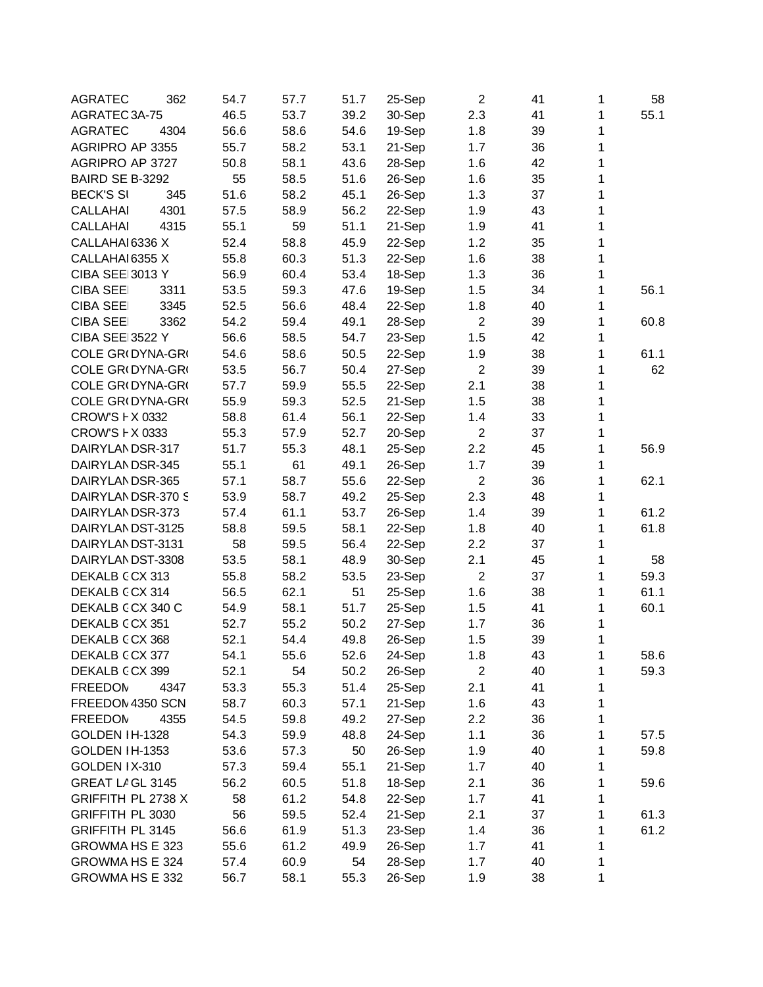| <b>AGRATEC</b><br>362<br>54.7<br>57.7<br>51.7   | $\overline{2}$<br>25-Sep   | 41<br>1<br>58      |
|-------------------------------------------------|----------------------------|--------------------|
| 46.5<br>53.7<br>AGRATEC 3A-75<br>39.2           | 30-Sep<br>2.3              | 41<br>1<br>55.1    |
| 56.6<br>58.6<br>54.6<br><b>AGRATEC</b><br>4304  | 1.8<br>19-Sep              | 1<br>39            |
| AGRIPRO AP 3355<br>55.7<br>58.2<br>53.1         | 21-Sep<br>1.7              | $\mathbf{1}$<br>36 |
| 43.6<br>AGRIPRO AP 3727<br>50.8<br>58.1         | 28-Sep<br>1.6              | 1<br>42            |
| 55<br>58.5<br>BAIRD SE B-3292<br>51.6           | 26-Sep<br>1.6              | 1<br>35            |
| 51.6<br><b>BECK'S SI</b><br>345<br>58.2<br>45.1 | 26-Sep<br>1.3              | 1<br>37            |
| 58.9<br>56.2<br><b>CALLAHAI</b><br>4301<br>57.5 | 22-Sep<br>1.9              | 1<br>43            |
| 55.1<br>51.1<br><b>CALLAHAI</b><br>4315<br>59   | 21-Sep<br>1.9              | 1<br>41            |
| 52.4<br>CALLAHAI 6336 X<br>58.8<br>45.9         | 22-Sep<br>1.2              | 1<br>35            |
| 55.8<br>51.3<br>CALLAHAI 6355 X<br>60.3         | 22-Sep<br>1.6              | 1<br>38            |
| <b>CIBA SEE 3013 Y</b><br>56.9<br>60.4<br>53.4  | 18-Sep<br>1.3              | 1<br>36            |
| 53.5<br>59.3<br>47.6<br><b>CIBA SEE</b><br>3311 | 19-Sep<br>1.5              | 1<br>34<br>56.1    |
| 52.5<br>56.6<br>48.4<br><b>CIBA SEE</b><br>3345 | 22-Sep<br>1.8              | 40<br>1            |
| 54.2<br>59.4<br>49.1<br><b>CIBA SEE</b><br>3362 | 28-Sep<br>$\boldsymbol{2}$ | 1<br>39<br>60.8    |
| <b>CIBA SEE 3522 Y</b><br>56.6<br>58.5<br>54.7  | 1.5<br>23-Sep              | 1<br>42            |
| COLE GR(DYNA-GR(<br>54.6<br>58.6<br>50.5        | 22-Sep<br>1.9              | 1<br>38<br>61.1    |
| COLE GR(DYNA-GR(<br>53.5<br>56.7<br>50.4        | $\overline{2}$<br>27-Sep   | 1<br>62<br>39      |
| COLE GR(DYNA-GR(<br>57.7<br>59.9<br>55.5        | 2.1<br>22-Sep              | 1<br>38            |
| COLE GR(DYNA-GR(<br>55.9<br>59.3<br>52.5        | 21-Sep<br>1.5              | 1<br>38            |
| 58.8<br>56.1<br>CROW'S F X 0332<br>61.4         | 22-Sep<br>1.4              | 1<br>33            |
| CROW'S F X 0333<br>55.3<br>57.9<br>52.7         | $\overline{2}$<br>20-Sep   | 37<br>1            |
| 51.7<br>55.3<br>48.1<br>DAIRYLANDSR-317         | 2.2<br>25-Sep              | 1<br>45<br>56.9    |
| 55.1<br>DAIRYLANDSR-345<br>61<br>49.1           | 26-Sep<br>1.7              | 1<br>39            |
| 57.1<br>55.6<br>DAIRYLANDSR-365<br>58.7         | $\overline{2}$<br>22-Sep   | 1<br>62.1<br>36    |
| 53.9<br>DAIRYLANDSR-370 S<br>58.7<br>49.2       | 25-Sep<br>2.3              | 48<br>1            |
| 53.7<br>DAIRYLANDSR-373<br>57.4<br>61.1         | 26-Sep<br>1.4              | 1<br>61.2<br>39    |
| 58.8<br>58.1<br>DAIRYLANDST-3125<br>59.5        | 22-Sep<br>1.8              | 1<br>61.8<br>40    |
| 56.4<br>DAIRYLANDST-3131<br>58<br>59.5          | 22-Sep<br>2.2              | 1<br>37            |
| 53.5<br>48.9<br>DAIRYLANDST-3308<br>58.1        | 2.1<br>30-Sep              | 1<br>45<br>58      |
| 55.8<br>58.2<br>DEKALB CCX 313<br>53.5          | $\overline{2}$<br>23-Sep   | 1<br>59.3<br>37    |
| DEKALB CCX 314<br>51<br>56.5<br>62.1            | 1.6<br>25-Sep              | 1<br>61.1<br>38    |
| 58.1<br>51.7<br>DEKALB CCX 340 C<br>54.9        | 25-Sep<br>1.5              | 1<br>60.1<br>41    |
| DEKALB CCX 351<br>52.7<br>55.2<br>50.2          | 27-Sep<br>1.7              | 1<br>36            |
| 52.1<br>DEKALB CCX 368<br>54.4<br>49.8          | 26-Sep<br>1.5              | 1<br>39            |
| DEKALB CCX 377<br>54.1<br>55.6<br>52.6          | 24-Sep<br>1.8              | 43<br>1<br>58.6    |
| 52.1<br>DEKALB CCX 399<br>54<br>50.2            | $\overline{c}$<br>26-Sep   | 59.3<br>40<br>1    |
| 53.3<br>55.3<br>51.4<br><b>FREEDOM</b><br>4347  | 25-Sep<br>2.1              | 41<br>1            |
| FREEDOM 4350 SCN<br>58.7<br>60.3<br>57.1        | 21-Sep<br>1.6              | 43<br>1            |
| 59.8<br>49.2<br><b>FREEDOM</b><br>4355<br>54.5  | 27-Sep<br>2.2              | 1<br>36            |
| GOLDEN IH-1328<br>54.3<br>59.9<br>48.8          | 24-Sep<br>1.1              | 1<br>36<br>57.5    |
| 50<br>GOLDEN IH-1353<br>53.6<br>57.3            | 26-Sep<br>1.9              | 1<br>40<br>59.8    |
| GOLDEN IX-310<br>57.3<br>59.4<br>55.1           | 21-Sep<br>1.7              | 1<br>40            |
| GREAT LAGL 3145<br>56.2<br>60.5<br>51.8         | 18-Sep<br>2.1              | 1<br>36<br>59.6    |
| GRIFFITH PL 2738 X<br>58<br>61.2<br>54.8        | 22-Sep<br>1.7              | 41<br>1            |
| 56<br>GRIFFITH PL 3030<br>59.5<br>52.4          | 21-Sep<br>2.1              | 37<br>1<br>61.3    |
| 51.3<br><b>GRIFFITH PL 3145</b><br>56.6<br>61.9 | 23-Sep<br>1.4              | 61.2<br>36<br>1    |
| 55.6<br>GROWMA HS E 323<br>61.2<br>49.9         | 26-Sep<br>1.7              | 41<br>1            |
| 60.9<br>GROWMA HS E 324<br>57.4<br>54           | 28-Sep<br>1.7              | 40<br>1            |
| GROWMA HS E 332<br>56.7<br>58.1<br>55.3         | 26-Sep<br>1.9              | 1<br>38            |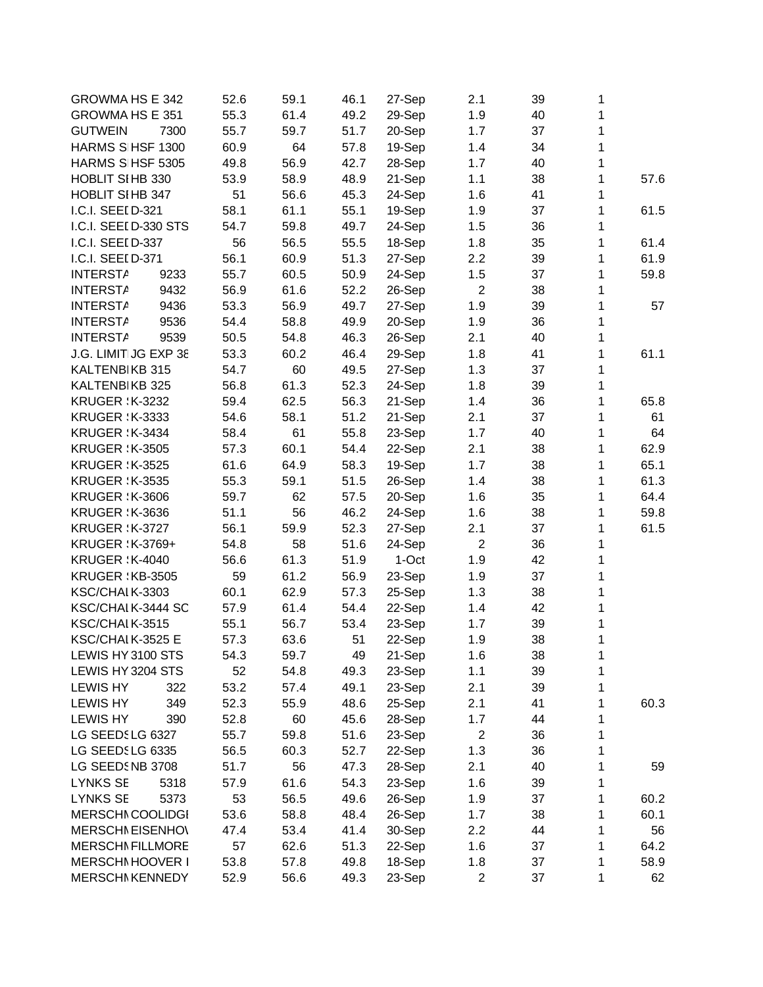| <b>GROWMA HS E 342</b>  | 52.6 | 59.1 | 46.1 | 27-Sep | 2.1              | 39 | 1 |      |
|-------------------------|------|------|------|--------|------------------|----|---|------|
| GROWMA HS E 351         | 55.3 | 61.4 | 49.2 | 29-Sep | 1.9              | 40 | 1 |      |
| <b>GUTWEIN</b><br>7300  | 55.7 | 59.7 | 51.7 | 20-Sep | 1.7              | 37 | 1 |      |
| HARMS S HSF 1300        | 60.9 | 64   | 57.8 | 19-Sep | 1.4              | 34 | 1 |      |
| HARMS S HSF 5305        | 49.8 | 56.9 | 42.7 | 28-Sep | 1.7              | 40 | 1 |      |
| <b>HOBLIT SI HB 330</b> | 53.9 | 58.9 | 48.9 | 21-Sep | 1.1              | 38 | 1 | 57.6 |
| HOBLIT SIHB 347         | 51   | 56.6 | 45.3 | 24-Sep | 1.6              | 41 | 1 |      |
| I.C.I. SEEI D-321       | 58.1 | 61.1 | 55.1 | 19-Sep | 1.9              | 37 | 1 | 61.5 |
| I.C.I. SEEI D-330 STS   | 54.7 | 59.8 | 49.7 | 24-Sep | 1.5              | 36 | 1 |      |
| I.C.I. SEEI D-337       | 56   | 56.5 | 55.5 | 18-Sep | 1.8              | 35 | 1 | 61.4 |
| I.C.I. SEEI D-371       | 56.1 | 60.9 | 51.3 | 27-Sep | 2.2              | 39 | 1 | 61.9 |
| <b>INTERSTA</b><br>9233 | 55.7 | 60.5 | 50.9 | 24-Sep | 1.5              | 37 | 1 | 59.8 |
| <b>INTERSTA</b><br>9432 | 56.9 | 61.6 | 52.2 | 26-Sep | $\overline{2}$   | 38 | 1 |      |
| 9436<br><b>INTERSTA</b> | 53.3 | 56.9 | 49.7 | 27-Sep | 1.9              | 39 | 1 | 57   |
| 9536<br><b>INTERSTA</b> | 54.4 | 58.8 | 49.9 | 20-Sep | 1.9              | 36 | 1 |      |
| <b>INTERSTA</b><br>9539 | 50.5 | 54.8 | 46.3 | 26-Sep | 2.1              | 40 | 1 |      |
| J.G. LIMIT JG EXP 38    | 53.3 | 60.2 | 46.4 | 29-Sep | 1.8              | 41 | 1 | 61.1 |
| KALTENBIKB 315          | 54.7 | 60   | 49.5 | 27-Sep | 1.3              | 37 | 1 |      |
| KALTENBIKB 325          | 56.8 | 61.3 | 52.3 | 24-Sep | 1.8              | 39 | 1 |      |
| <b>KRUGER : K-3232</b>  | 59.4 | 62.5 | 56.3 | 21-Sep | 1.4              | 36 | 1 | 65.8 |
| <b>KRUGER : K-3333</b>  | 54.6 | 58.1 | 51.2 | 21-Sep | 2.1              | 37 | 1 | 61   |
| <b>KRUGER : K-3434</b>  | 58.4 | 61   | 55.8 | 23-Sep | 1.7              | 40 | 1 | 64   |
| <b>KRUGER : K-3505</b>  | 57.3 | 60.1 | 54.4 | 22-Sep | 2.1              | 38 | 1 | 62.9 |
| <b>KRUGER : K-3525</b>  | 61.6 | 64.9 | 58.3 |        | 1.7              | 38 | 1 | 65.1 |
|                         |      |      |      | 19-Sep |                  |    | 1 | 61.3 |
| <b>KRUGER : K-3535</b>  | 55.3 | 59.1 | 51.5 | 26-Sep | 1.4              | 38 |   |      |
| <b>KRUGER : K-3606</b>  | 59.7 | 62   | 57.5 | 20-Sep | 1.6              | 35 | 1 | 64.4 |
| <b>KRUGER : K-3636</b>  | 51.1 | 56   | 46.2 | 24-Sep | 1.6              | 38 | 1 | 59.8 |
| <b>KRUGER : K-3727</b>  | 56.1 | 59.9 | 52.3 | 27-Sep | 2.1              | 37 | 1 | 61.5 |
| <b>KRUGER : K-3769+</b> | 54.8 | 58   | 51.6 | 24-Sep | $\overline{2}$   | 36 | 1 |      |
| <b>KRUGER : K-4040</b>  | 56.6 | 61.3 | 51.9 | 1-Oct  | 1.9              | 42 | 1 |      |
| KRUGER : KB-3505        | 59   | 61.2 | 56.9 | 23-Sep | 1.9              | 37 | 1 |      |
| KSC/CHAIK-3303          | 60.1 | 62.9 | 57.3 | 25-Sep | 1.3              | 38 | 1 |      |
| KSC/CHAIK-3444 SC       | 57.9 | 61.4 | 54.4 | 22-Sep | 1.4              | 42 | 1 |      |
| KSC/CHAIK-3515          | 55.1 | 56.7 | 53.4 | 23-Sep | 1.7              | 39 | 1 |      |
| KSC/CHAI K-3525 E       | 57.3 | 63.6 | 51   | 22-Sep | 1.9              | 38 | 1 |      |
| LEWIS HY 3100 STS       | 54.3 | 59.7 | 49   | 21-Sep | 1.6              | 38 | 1 |      |
| LEWIS HY 3204 STS       | 52   | 54.8 | 49.3 | 23-Sep | 1.1              | 39 | 1 |      |
| <b>LEWIS HY</b><br>322  | 53.2 | 57.4 | 49.1 | 23-Sep | 2.1              | 39 | 1 |      |
| <b>LEWIS HY</b><br>349  | 52.3 | 55.9 | 48.6 | 25-Sep | 2.1              | 41 | 1 | 60.3 |
| <b>LEWIS HY</b><br>390  | 52.8 | 60   | 45.6 | 28-Sep | 1.7              | 44 | 1 |      |
| LG SEEDSLG 6327         | 55.7 | 59.8 | 51.6 | 23-Sep | $\boldsymbol{2}$ | 36 | 1 |      |
| LG SEEDSLG 6335         | 56.5 | 60.3 | 52.7 | 22-Sep | 1.3              | 36 | 1 |      |
| LG SEEDSNB 3708         | 51.7 | 56   | 47.3 | 28-Sep | 2.1              | 40 | 1 | 59   |
| <b>LYNKS SE</b><br>5318 | 57.9 | 61.6 | 54.3 | 23-Sep | 1.6              | 39 | 1 |      |
| <b>LYNKS SE</b><br>5373 | 53   | 56.5 | 49.6 | 26-Sep | 1.9              | 37 | 1 | 60.2 |
| <b>MERSCHI COOLIDGI</b> | 53.6 | 58.8 | 48.4 | 26-Sep | 1.7              | 38 | 1 | 60.1 |
| <b>MERSCHI EISENHO\</b> | 47.4 | 53.4 | 41.4 | 30-Sep | 2.2              | 44 | 1 | 56   |
| <b>MERSCHI FILLMORE</b> | 57   | 62.6 | 51.3 | 22-Sep | 1.6              | 37 | 1 | 64.2 |
| MERSCHI HOOVER I        | 53.8 | 57.8 | 49.8 | 18-Sep | 1.8              | 37 | 1 | 58.9 |
| <b>MERSCHI KENNEDY</b>  | 52.9 | 56.6 | 49.3 | 23-Sep | $\overline{2}$   | 37 | 1 | 62   |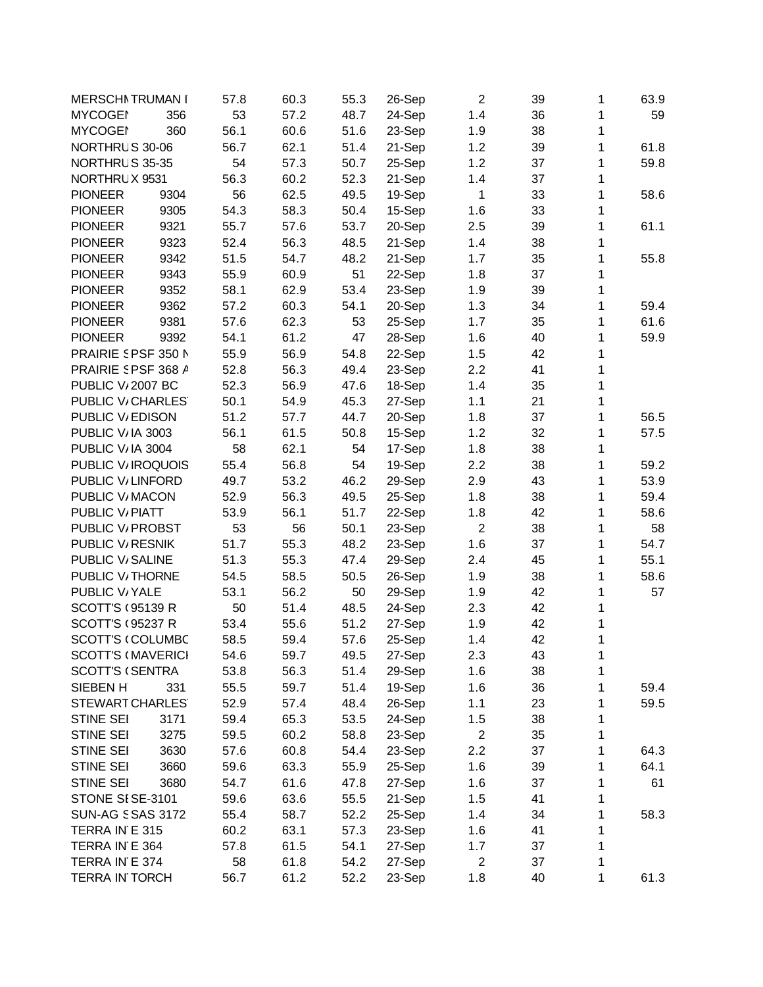| <b>MERSCHI TRUMAN I</b>            |      | 57.8 | 60.3 | 55.3 | 26-Sep           | $\overline{2}$ | 39 | 1 | 63.9 |
|------------------------------------|------|------|------|------|------------------|----------------|----|---|------|
| <b>MYCOGEN</b>                     | 356  | 53   | 57.2 | 48.7 | 24-Sep           | 1.4            | 36 | 1 | 59   |
| <b>MYCOGEN</b>                     | 360  | 56.1 | 60.6 | 51.6 | 23-Sep           | 1.9            | 38 | 1 |      |
| NORTHRUS 30-06                     |      | 56.7 | 62.1 | 51.4 | 21-Sep           | 1.2            | 39 | 1 | 61.8 |
| NORTHRUS 35-35                     |      | 54   | 57.3 | 50.7 | 25-Sep           | 1.2            | 37 | 1 | 59.8 |
| NORTHRUX 9531                      |      | 56.3 | 60.2 | 52.3 | 21-Sep           | 1.4            | 37 | 1 |      |
| <b>PIONEER</b>                     | 9304 | 56   | 62.5 | 49.5 | 19-Sep           | 1              | 33 | 1 | 58.6 |
| <b>PIONEER</b>                     | 9305 | 54.3 | 58.3 | 50.4 | 15-Sep           | 1.6            | 33 | 1 |      |
| <b>PIONEER</b>                     | 9321 | 55.7 | 57.6 | 53.7 | 20-Sep           | 2.5            | 39 | 1 | 61.1 |
| <b>PIONEER</b>                     | 9323 | 52.4 | 56.3 | 48.5 | 21-Sep           | 1.4            | 38 | 1 |      |
| <b>PIONEER</b>                     | 9342 | 51.5 | 54.7 | 48.2 | 21-Sep           | 1.7            | 35 | 1 | 55.8 |
| <b>PIONEER</b>                     | 9343 | 55.9 | 60.9 | 51   | 22-Sep           | 1.8            | 37 | 1 |      |
| <b>PIONEER</b>                     | 9352 | 58.1 | 62.9 | 53.4 | 23-Sep           | 1.9            | 39 | 1 |      |
| <b>PIONEER</b>                     | 9362 | 57.2 | 60.3 | 54.1 | 20-Sep           | 1.3            | 34 | 1 | 59.4 |
| <b>PIONEER</b>                     | 9381 | 57.6 | 62.3 | 53   | 25-Sep           | 1.7            | 35 | 1 | 61.6 |
| <b>PIONEER</b>                     | 9392 | 54.1 | 61.2 | 47   | 28-Sep           | 1.6            | 40 | 1 | 59.9 |
| PRAIRIE 5 PSF 350 N                |      | 55.9 | 56.9 | 54.8 | 22-Sep           | 1.5            | 42 | 1 |      |
| PRAIRIE SPSF 368 A                 |      | 52.8 | 56.3 | 49.4 | 23-Sep           | 2.2            | 41 | 1 |      |
| <b>PUBLIC V<sub>1</sub>2007 BC</b> |      | 52.3 | 56.9 | 47.6 | 18-Sep           | 1.4            | 35 | 1 |      |
| PUBLIC V/CHARLES                   |      | 50.1 | 54.9 | 45.3 | 27-Sep           | 1.1            | 21 | 1 |      |
| PUBLIC V/EDISON                    |      | 51.2 | 57.7 | 44.7 | 20-Sep           | 1.8            | 37 | 1 | 56.5 |
| PUBLIC V/IA 3003                   |      | 56.1 | 61.5 | 50.8 | 15-Sep           | 1.2            | 32 | 1 | 57.5 |
| PUBLIC V/IA 3004                   |      | 58   | 62.1 | 54   | 17-Sep           | 1.8            | 38 | 1 |      |
| PUBLIC V/IROQUOIS                  |      | 55.4 | 56.8 | 54   |                  | 2.2            | 38 | 1 | 59.2 |
| PUBLIC V/LINFORD                   |      | 49.7 | 53.2 | 46.2 | 19-Sep<br>29-Sep |                |    | 1 | 53.9 |
|                                    |      |      |      |      |                  | 2.9            | 43 |   |      |
| PUBLIC V/MACON                     |      | 52.9 | 56.3 | 49.5 | 25-Sep           | 1.8            | 38 | 1 | 59.4 |
| PUBLIC V/PIATT                     |      | 53.9 | 56.1 | 51.7 | 22-Sep           | 1.8            | 42 | 1 | 58.6 |
| PUBLIC V/ PROBST                   |      | 53   | 56   | 50.1 | 23-Sep           | $\overline{2}$ | 38 | 1 | 58   |
| PUBLIC V <sub>/</sub> RESNIK       |      | 51.7 | 55.3 | 48.2 | 23-Sep           | 1.6            | 37 | 1 | 54.7 |
| PUBLIC V/SALINE                    |      | 51.3 | 55.3 | 47.4 | 29-Sep           | 2.4            | 45 | 1 | 55.1 |
| PUBLIC V/THORNE                    |      | 54.5 | 58.5 | 50.5 | 26-Sep           | 1.9            | 38 | 1 | 58.6 |
| PUBLIC V/YALE                      |      | 53.1 | 56.2 | 50   | 29-Sep           | 1.9            | 42 | 1 | 57   |
| <b>SCOTT'S (95139 R</b>            |      | 50   | 51.4 | 48.5 | 24-Sep           | 2.3            | 42 | 1 |      |
| <b>SCOTT'S (95237 R</b>            |      | 53.4 | 55.6 | 51.2 | 27-Sep           | 1.9            | 42 | 1 |      |
| <b>SCOTT'S (COLUMBC</b>            |      | 58.5 | 59.4 | 57.6 | 25-Sep           | 1.4            | 42 | 1 |      |
| <b>SCOTT'S (MAVERICI</b>           |      | 54.6 | 59.7 | 49.5 | 27-Sep           | 2.3            | 43 | 1 |      |
| <b>SCOTT'S (SENTRA</b>             |      | 53.8 | 56.3 | 51.4 | 29-Sep           | 1.6            | 38 | 1 |      |
| SIEBEN H                           | 331  | 55.5 | 59.7 | 51.4 | 19-Sep           | 1.6            | 36 | 1 | 59.4 |
| <b>STEWART CHARLES</b>             |      | 52.9 | 57.4 | 48.4 | 26-Sep           | 1.1            | 23 | 1 | 59.5 |
| <b>STINE SEI</b>                   | 3171 | 59.4 | 65.3 | 53.5 | 24-Sep           | 1.5            | 38 | 1 |      |
| STINE SEI                          | 3275 | 59.5 | 60.2 | 58.8 | 23-Sep           | $\overline{c}$ | 35 | 1 |      |
| STINE SEI                          | 3630 | 57.6 | 60.8 | 54.4 | 23-Sep           | 2.2            | 37 | 1 | 64.3 |
| <b>STINE SEI</b>                   | 3660 | 59.6 | 63.3 | 55.9 | 25-Sep           | 1.6            | 39 | 1 | 64.1 |
| STINE SEI                          | 3680 | 54.7 | 61.6 | 47.8 | 27-Sep           | 1.6            | 37 | 1 | 61   |
| STONE SISE-3101                    |      | 59.6 | 63.6 | 55.5 | 21-Sep           | 1.5            | 41 | 1 |      |
| <b>SUN-AG SSAS 3172</b>            |      | 55.4 | 58.7 | 52.2 | 25-Sep           | 1.4            | 34 | 1 | 58.3 |
| TERRA IN E 315                     |      | 60.2 | 63.1 | 57.3 | 23-Sep           | 1.6            | 41 | 1 |      |
| TERRA IN E 364                     |      | 57.8 | 61.5 | 54.1 | 27-Sep           | 1.7            | 37 | 1 |      |
| TERRA IN E 374                     |      | 58   | 61.8 | 54.2 | 27-Sep           | $\overline{2}$ | 37 | 1 |      |
| <b>TERRA IN TORCH</b>              |      | 56.7 | 61.2 | 52.2 | 23-Sep           | 1.8            | 40 | 1 | 61.3 |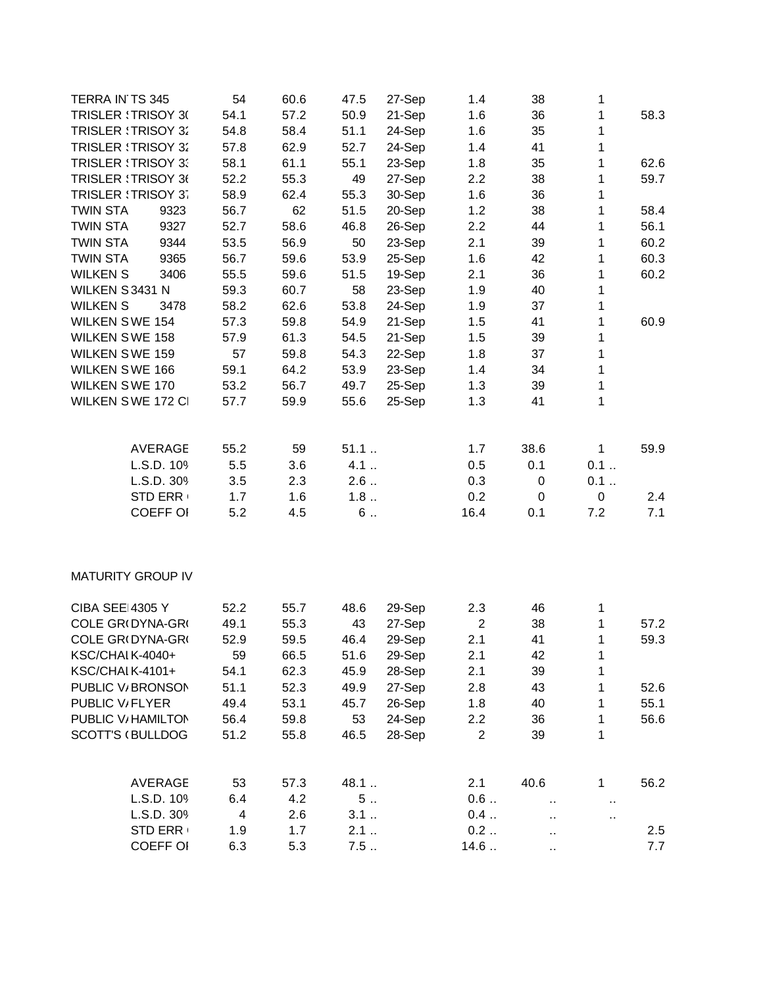| TERRA IN TS 345            | 54   | 60.6 | 47.5 | 27-Sep | 1.4              | 38                   | 1                    |      |
|----------------------------|------|------|------|--------|------------------|----------------------|----------------------|------|
| <b>TRISLER : TRISOY 3(</b> | 54.1 | 57.2 | 50.9 | 21-Sep | 1.6              | 36                   | 1                    | 58.3 |
| <b>TRISLER : TRISOY 32</b> | 54.8 | 58.4 | 51.1 | 24-Sep | 1.6              | 35                   | 1                    |      |
| <b>TRISLER : TRISOY 32</b> | 57.8 | 62.9 | 52.7 | 24-Sep | 1.4              | 41                   | $\mathbf{1}$         |      |
| <b>TRISLER : TRISOY 3:</b> | 58.1 | 61.1 | 55.1 | 23-Sep | 1.8              | 35                   | 1                    | 62.6 |
| <b>TRISLER : TRISOY 36</b> | 52.2 | 55.3 | 49   | 27-Sep | 2.2              | 38                   | 1                    | 59.7 |
| <b>TRISLER : TRISOY 37</b> | 58.9 | 62.4 | 55.3 | 30-Sep | 1.6              | 36                   | 1                    |      |
| <b>TWIN STA</b><br>9323    | 56.7 | 62   | 51.5 | 20-Sep | 1.2              | 38                   | 1                    | 58.4 |
| <b>TWIN STA</b><br>9327    | 52.7 | 58.6 | 46.8 | 26-Sep | 2.2              | 44                   | 1                    | 56.1 |
| <b>TWIN STA</b><br>9344    | 53.5 | 56.9 | 50   | 23-Sep | 2.1              | 39                   | 1                    | 60.2 |
| 9365<br><b>TWIN STA</b>    | 56.7 | 59.6 | 53.9 | 25-Sep | 1.6              | 42                   | 1                    | 60.3 |
| 3406<br><b>WILKEN S</b>    | 55.5 | 59.6 | 51.5 | 19-Sep | 2.1              | 36                   | 1                    | 60.2 |
| WILKEN S3431 N             | 59.3 | 60.7 | 58   | 23-Sep | 1.9              | 40                   | 1                    |      |
| <b>WILKEN S</b><br>3478    | 58.2 | 62.6 | 53.8 | 24-Sep | 1.9              | 37                   | 1                    |      |
| <b>WILKEN SWE 154</b>      | 57.3 | 59.8 | 54.9 | 21-Sep | 1.5              | 41                   | 1                    | 60.9 |
| <b>WILKEN SWE 158</b>      | 57.9 | 61.3 | 54.5 | 21-Sep | 1.5              | 39                   | $\mathbf 1$          |      |
| <b>WILKEN SWE 159</b>      | 57   | 59.8 | 54.3 | 22-Sep | 1.8              | 37                   | $\mathbf{1}$         |      |
| <b>WILKEN SWE 166</b>      | 59.1 | 64.2 | 53.9 | 23-Sep | 1.4              | 34                   | $\mathbf 1$          |      |
| <b>WILKEN SWE 170</b>      | 53.2 | 56.7 | 49.7 | 25-Sep | 1.3              | 39                   | $\mathbf{1}$         |      |
| WILKEN SWE 172 CI          | 57.7 | 59.9 | 55.6 | 25-Sep | 1.3              | 41                   | $\mathbf{1}$         |      |
|                            |      |      |      |        |                  |                      |                      |      |
| <b>AVERAGE</b>             | 55.2 | 59   | 51.1 |        | 1.7              | 38.6                 | $\mathbf{1}$         | 59.9 |
| L.S.D. 109                 | 5.5  | 3.6  | 4.1  |        | 0.5              | 0.1                  | 0.1                  |      |
| L.S.D. 309                 | 3.5  | 2.3  | 2.6  |        | 0.3              | 0                    | 0.1                  |      |
| <b>STD ERR</b>             | 1.7  | 1.6  | 1.8  |        | 0.2              | 0                    | $\pmb{0}$            | 2.4  |
| <b>COEFF OI</b>            | 5.2  | 4.5  | 6    |        | 16.4             | 0.1                  | 7.2                  | 7.1  |
|                            |      |      |      |        |                  |                      |                      |      |
| <b>MATURITY GROUP IV</b>   |      |      |      |        |                  |                      |                      |      |
| <b>CIBA SEE 4305 Y</b>     | 52.2 | 55.7 | 48.6 | 29-Sep | 2.3              | 46                   | 1                    |      |
| COLE GR(DYNA-GR(           | 49.1 | 55.3 | 43   | 27-Sep | $\boldsymbol{2}$ | 38                   | 1                    | 57.2 |
| COLE GR(DYNA-GR(           | 52.9 | 59.5 | 46.4 | 29-Sep | 2.1              | 41                   | 1                    | 59.3 |
| KSC/CHAI K-4040+           | 59   | 66.5 | 51.6 | 29-Sep | 2.1              | 42                   | 1                    |      |
| KSC/CHAIK-4101+            | 54.1 | 62.3 | 45.9 | 28-Sep | 2.1              | 39                   | 1                    |      |
| PUBLIC V/BRONSON           | 51.1 | 52.3 | 49.9 | 27-Sep | 2.8              | 43                   | 1                    | 52.6 |
| PUBLIC V/FLYER             | 49.4 | 53.1 | 45.7 | 26-Sep | 1.8              | 40                   | 1                    | 55.1 |
| PUBLIC V/HAMILTON          | 56.4 | 59.8 | 53   | 24-Sep | 2.2              | 36                   | 1                    | 56.6 |
| <b>SCOTT'S (BULLDOG</b>    | 51.2 | 55.8 | 46.5 | 28-Sep | $\overline{2}$   | 39                   | 1                    |      |
|                            |      |      |      |        |                  |                      |                      |      |
| <b>AVERAGE</b>             | 53   | 57.3 | 48.1 |        | 2.1              | 40.6                 | $\mathbf{1}$         | 56.2 |
| L.S.D. 109                 | 6.4  | 4.2  | 5    |        | 0.6              |                      |                      |      |
| L.S.D. 309                 | 4    | 2.6  | 3.1  |        | 0.4              | $\ddot{\phantom{1}}$ | $\ddot{\phantom{1}}$ |      |
| <b>STD ERR</b>             | 1.9  | 1.7  | 2.1  |        | 0.2              | Ω,                   | Ω,                   | 2.5  |
| <b>COEFF OI</b>            |      |      | 7.5  |        | 14.6             | Ω,                   |                      |      |
|                            | 6.3  | 5.3  |      |        |                  |                      |                      | 7.7  |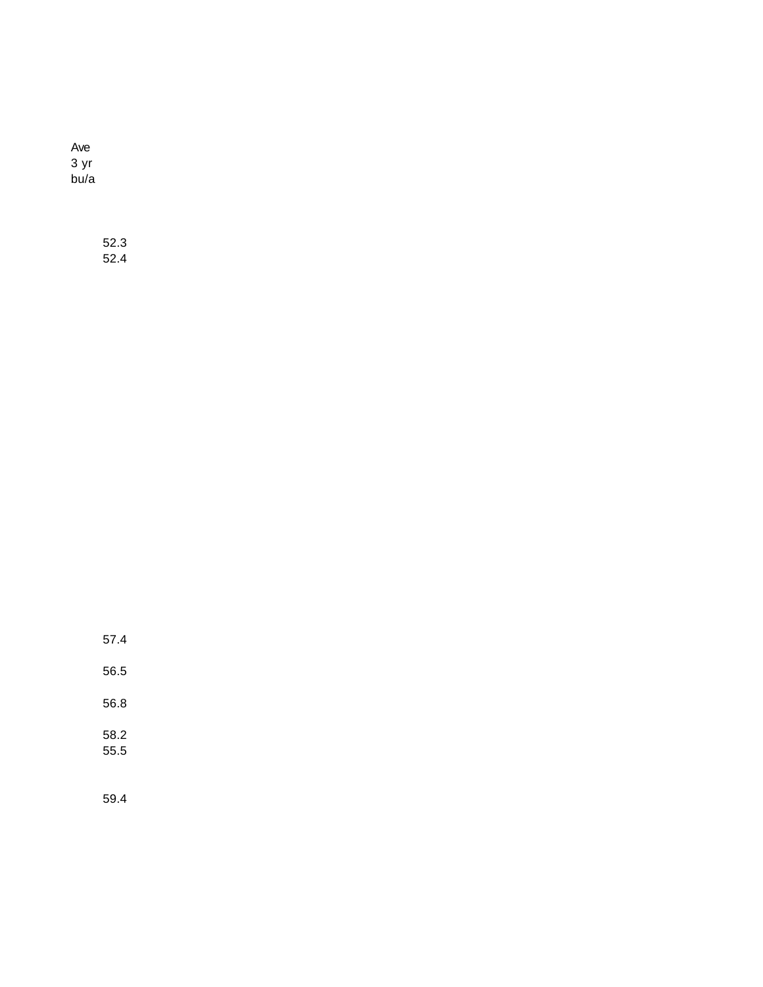Ave 3 yr bu/a

> 52.3 52.4

57.4

56.5

56.8

58.2 55.5

59.4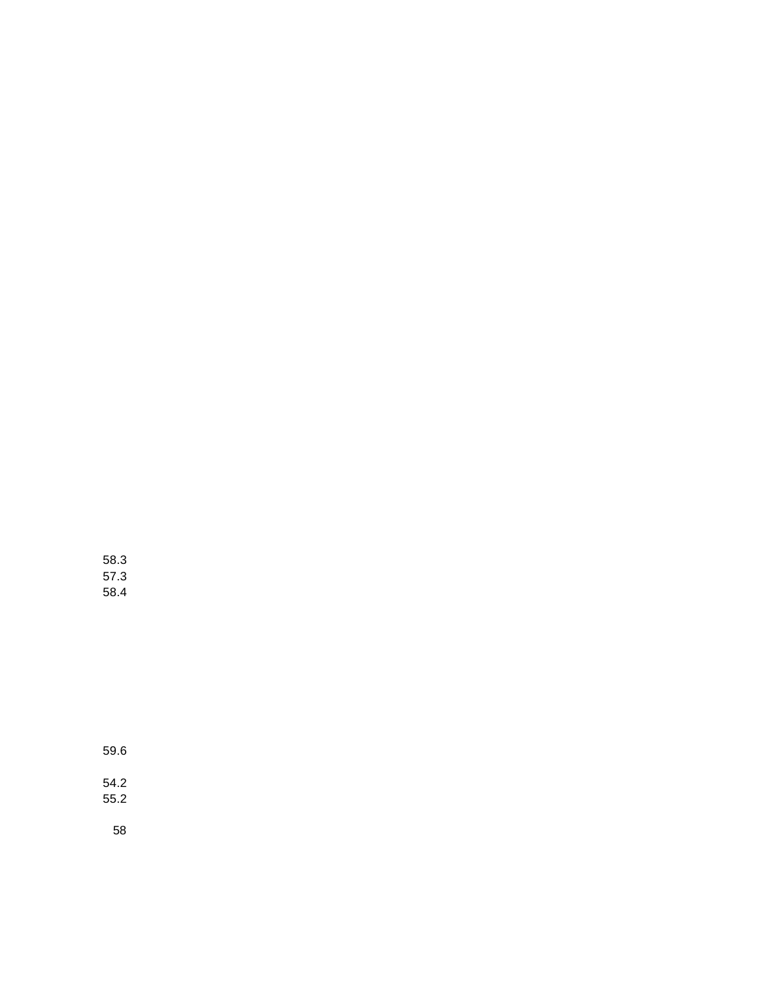58.3 57.3 58.4

59.6

54.2 55.2

58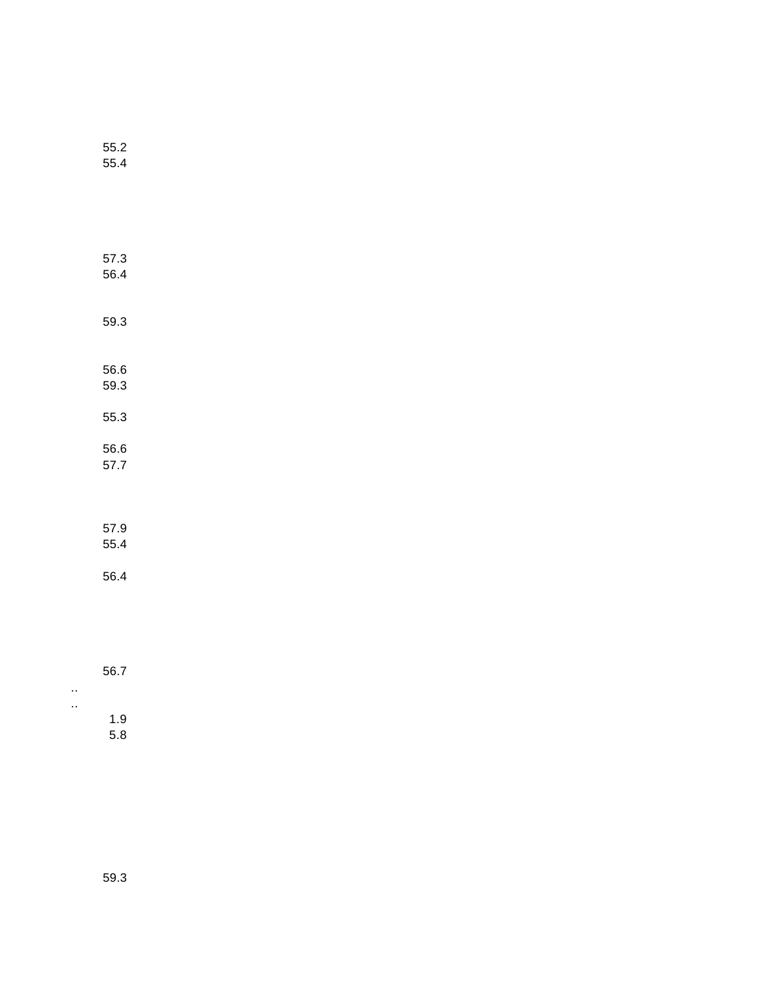| 55.2<br>55.4 |  |  |
|--------------|--|--|
|              |  |  |
| 57.3<br>56.4 |  |  |
| 59.3         |  |  |
| 56.6<br>59.3 |  |  |
| 55.3         |  |  |
| 56.6<br>57.7 |  |  |
| 57.9<br>55.4 |  |  |
| 56.4         |  |  |
|              |  |  |

56.7

.. ..

1.9 5.8

59.3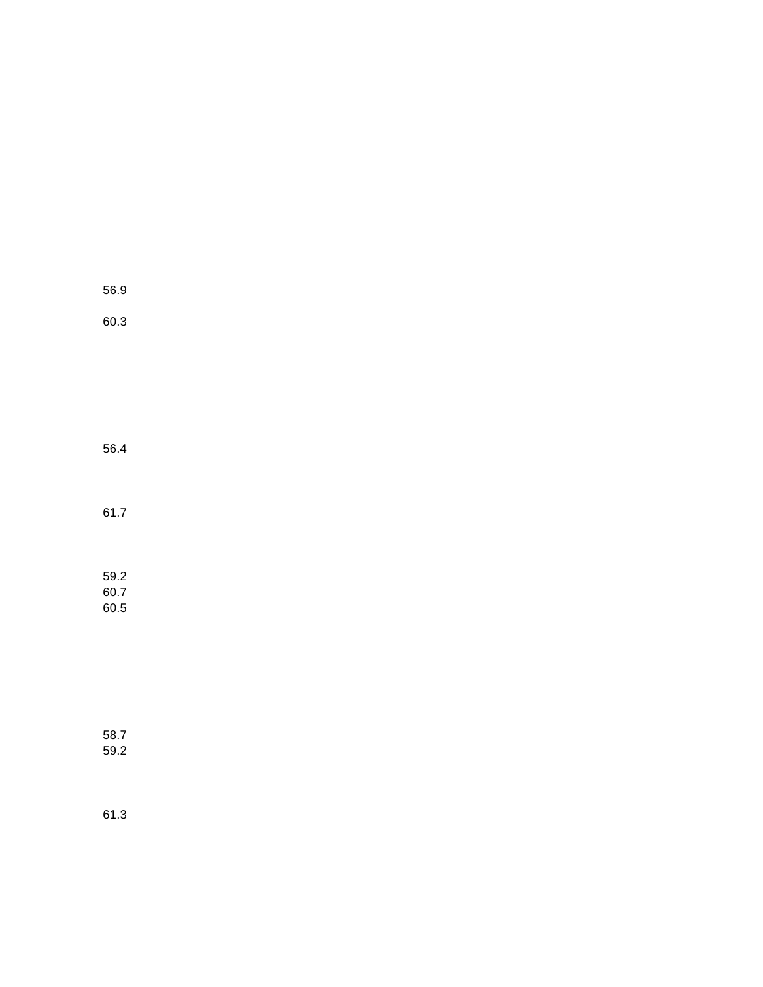| 56.9 |  |
|------|--|
| 60.3 |  |

56.4

61.7

59.2 60.7 60.5

58.7 59.2

61.3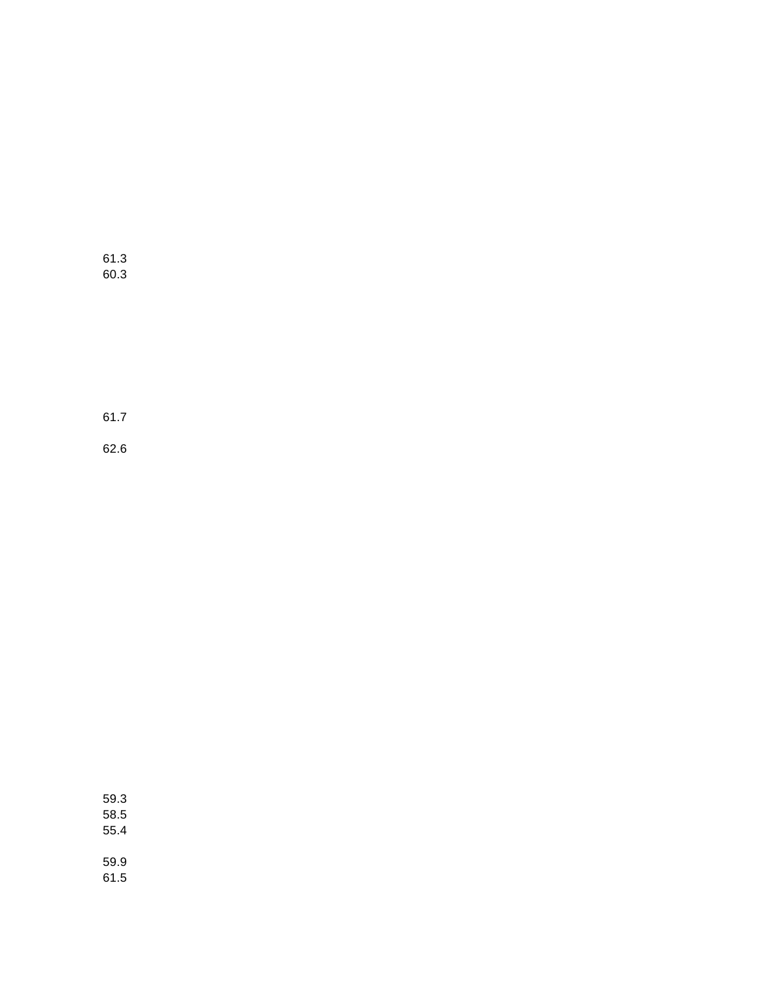61.3 60.3

61.7

62.6

59.3 58.5 55.4 59.9 61.5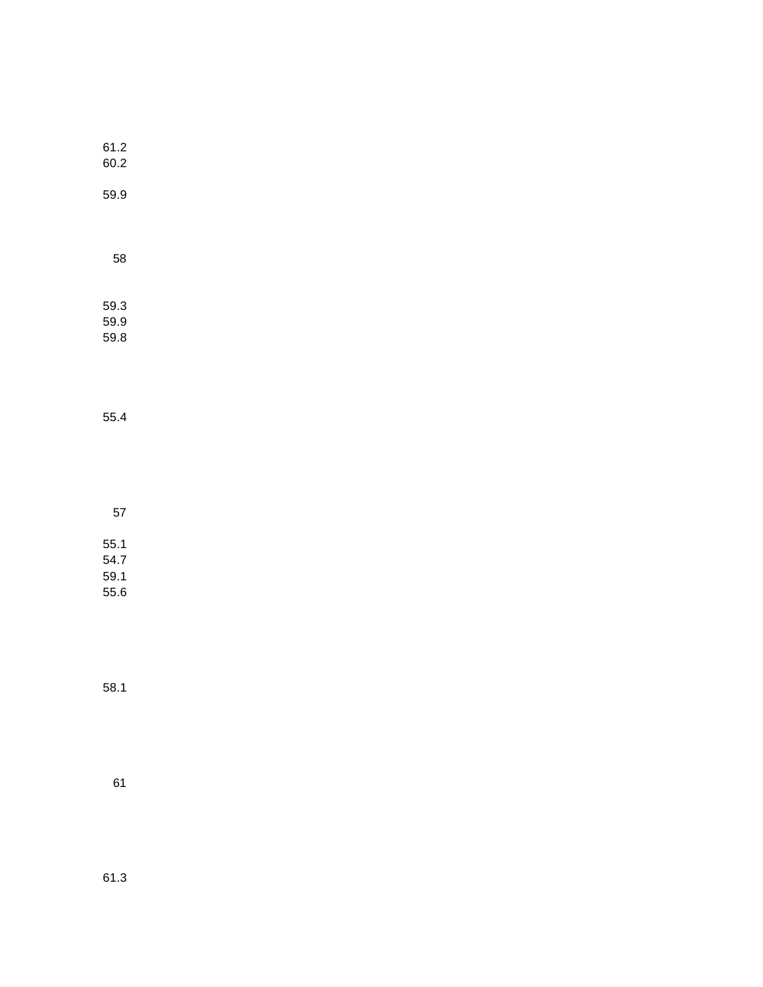| 61.2<br>60.2 |  |
|--------------|--|
| 59.9         |  |
| 58           |  |
|              |  |

59.3 59.9 59.8

55.4

57 55.1

54.7 59.1

55.6

58.1

61